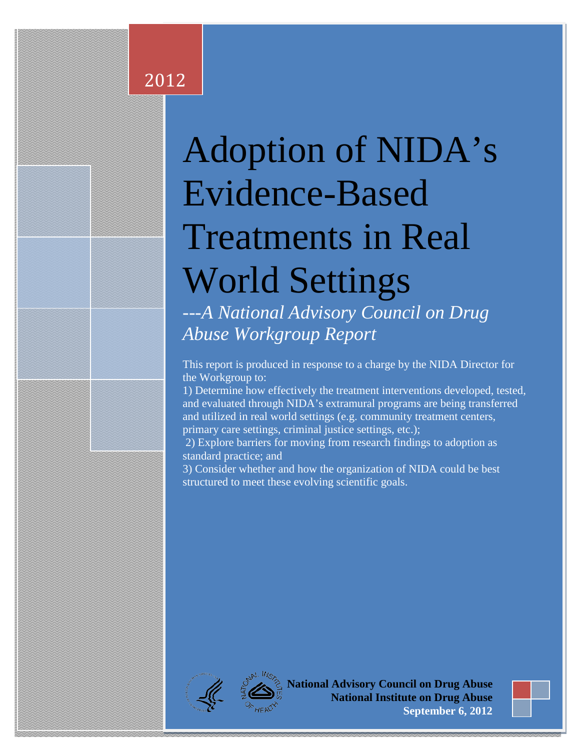# Adoption of NIDA's Evidence-Based Treatments in Real World Settings

*---A National Advisory Council on Drug Abuse Workgroup Report*

This report is produced in response to a charge by the NIDA Director for the Workgroup to:

1) Determine how effectively the treatment interventions developed, tested, and evaluated through NIDA's extramural programs are being transferred and utilized in real world settings (e.g. community treatment centers, primary care settings, criminal justice settings, etc.);

 2) Explore barriers for moving from research findings to adoption as standard practice; and

3) Consider whether and how the organization of NIDA could be best structured to meet these evolving scientific goals.



2012

**E** National Advisory Council on Drug Abuse **National Institute on Drug Abuse September 6, 2012** 

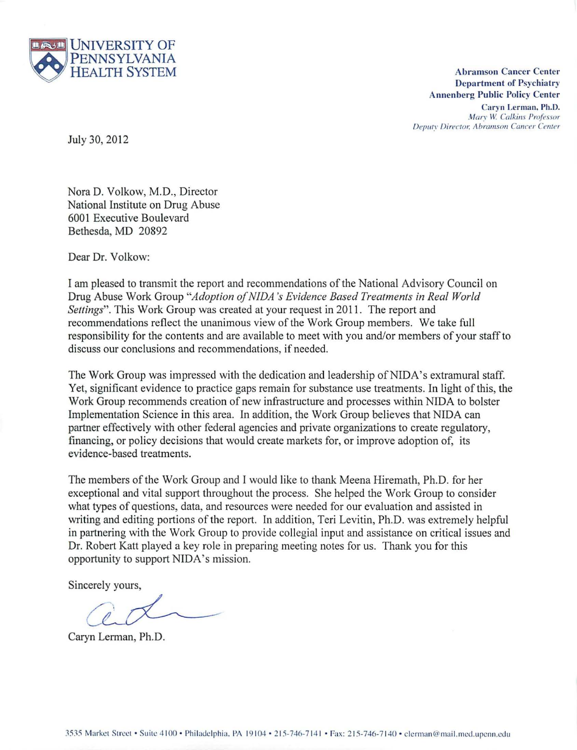

HEALTH SYSTEM **Abramson Cancer Center Department of Psychiatry Anncnbcrg Public Policy Center** 

> Caryn Lerman, Ph.D.  $Marv$  *W. Calkins Professor*  $Deputv$  *Director, Abramson Cancer Center*

July 30, 2012

Nora D. Volkow, M.D., Director National Institute on Drug Abuse 6001 Executive Boulevard Bethesda, MD 20892

Dear Dr. Volkow:

I am pleased to transmit the report and recommendations of the National Advisory Council on Drug Abuse Work Group *"Adoption 0/ NJDA 's Evidence Based Treatments in Real World Sellings".* This Work Group was created at your request in 2011. The report and recommendations reflect the unanimous view of the Work Group members. We take full responsibility for the contents and are available to meet with you and/or members of your staff to discuss our conclusions and recommendations, if needed.

The Work Group was impressed with the dedication and leadership of NIDA's extramural staff. Yet, significant evidence to practice gaps remain for substance use treatments. In light of this, the Work Group recommends creation of new infrastructure and processes within NIDA to bolster Implementation Science in this area. In addition, the Work Group believes that NIDA can partner effectively with other federal agencies and private organizations to create regulatory, financing, or policy decisions that would create markets for, or improve adoption of, its evidence-based treatments.

The members of the Work Group and I would like to thank Meena Hiremath, Ph.D. for her exceptional and vital support throughout the process. She helped the Work Group to consider what types of questions, data, and resources were needed for our evaluation and assisted in writing and editing portions of the report. In addition, Teri Levitin, Ph.D. was extremely helpful in partnering with the Work Group to provide collegial input and assistance on critical issues and Dr. Robert Katt played a key role in preparing meeting notes for us. Thank you for this opportunity to support NIDA's mission.

Sincerely yours,

Caryn Lerman, Ph.D.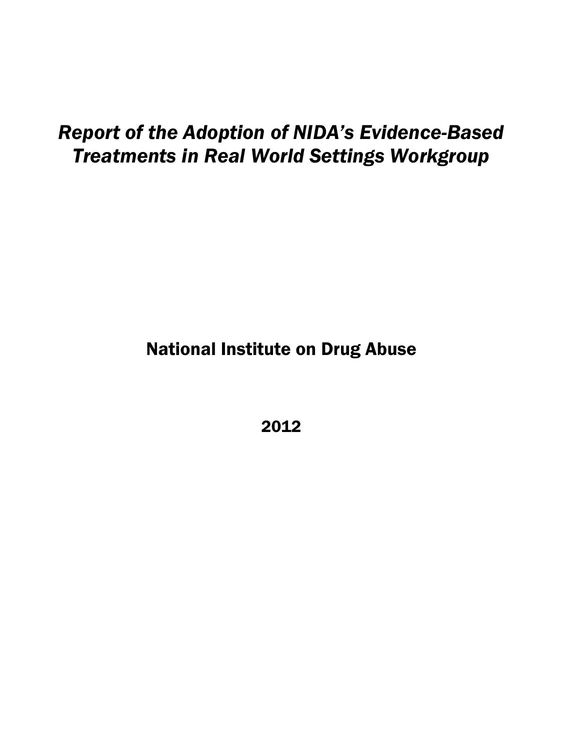# *Report of the Adoption of NIDA's Evidence-Based Treatments in Real World Settings Workgroup*

National Institute on Drug Abuse

2012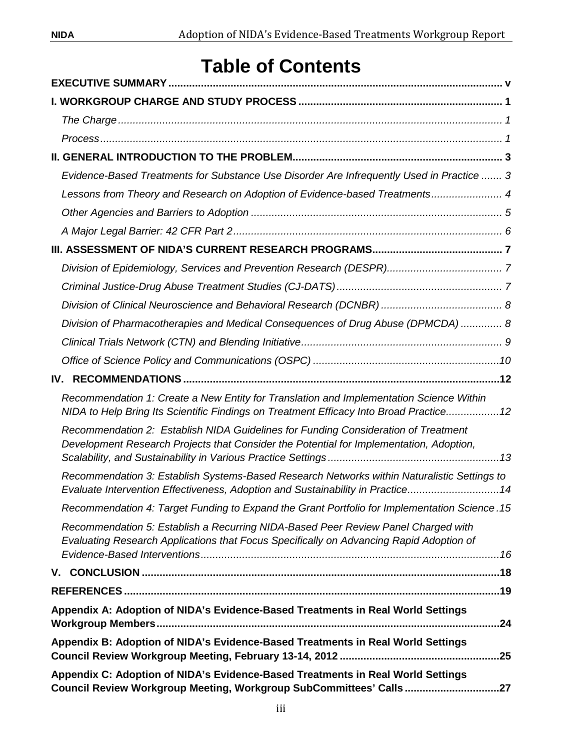# **Table of Contents**

| Evidence-Based Treatments for Substance Use Disorder Are Infrequently Used in Practice  3                                                                                          |
|------------------------------------------------------------------------------------------------------------------------------------------------------------------------------------|
| Lessons from Theory and Research on Adoption of Evidence-based Treatments 4                                                                                                        |
|                                                                                                                                                                                    |
|                                                                                                                                                                                    |
|                                                                                                                                                                                    |
|                                                                                                                                                                                    |
|                                                                                                                                                                                    |
|                                                                                                                                                                                    |
| Division of Pharmacotherapies and Medical Consequences of Drug Abuse (DPMCDA)  8                                                                                                   |
|                                                                                                                                                                                    |
|                                                                                                                                                                                    |
| IV.                                                                                                                                                                                |
| Recommendation 1: Create a New Entity for Translation and Implementation Science Within<br>NIDA to Help Bring Its Scientific Findings on Treatment Efficacy Into Broad Practice 12 |
| Recommendation 2: Establish NIDA Guidelines for Funding Consideration of Treatment<br>Development Research Projects that Consider the Potential for Implementation, Adoption,      |
| Recommendation 3: Establish Systems-Based Research Networks within Naturalistic Settings to<br>Evaluate Intervention Effectiveness, Adoption and Sustainability in Practice14      |
| Recommendation 4: Target Funding to Expand the Grant Portfolio for Implementation Science .15                                                                                      |
| Recommendation 5: Establish a Recurring NIDA-Based Peer Review Panel Charged with<br>Evaluating Research Applications that Focus Specifically on Advancing Rapid Adoption of       |
|                                                                                                                                                                                    |
|                                                                                                                                                                                    |
| Appendix A: Adoption of NIDA's Evidence-Based Treatments in Real World Settings                                                                                                    |
| Appendix B: Adoption of NIDA's Evidence-Based Treatments in Real World Settings                                                                                                    |
| Appendix C: Adoption of NIDA's Evidence-Based Treatments in Real World Settings<br>Council Review Workgroup Meeting, Workgroup SubCommittees' Calls 27                             |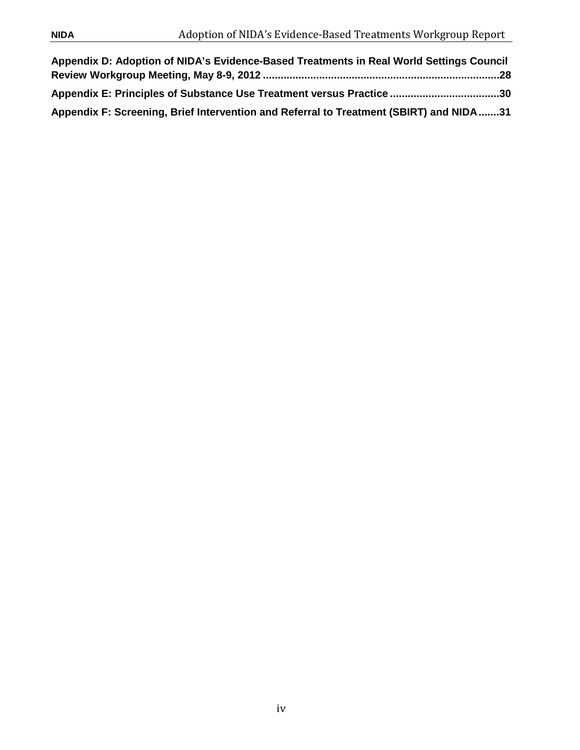<span id="page-4-0"></span>

| Appendix D: Adoption of NIDA's Evidence-Based Treatments in Real World Settings Council |  |
|-----------------------------------------------------------------------------------------|--|
|                                                                                         |  |
| Appendix E: Principles of Substance Use Treatment versus Practice 30                    |  |
| Appendix F: Screening, Brief Intervention and Referral to Treatment (SBIRT) and NIDA31  |  |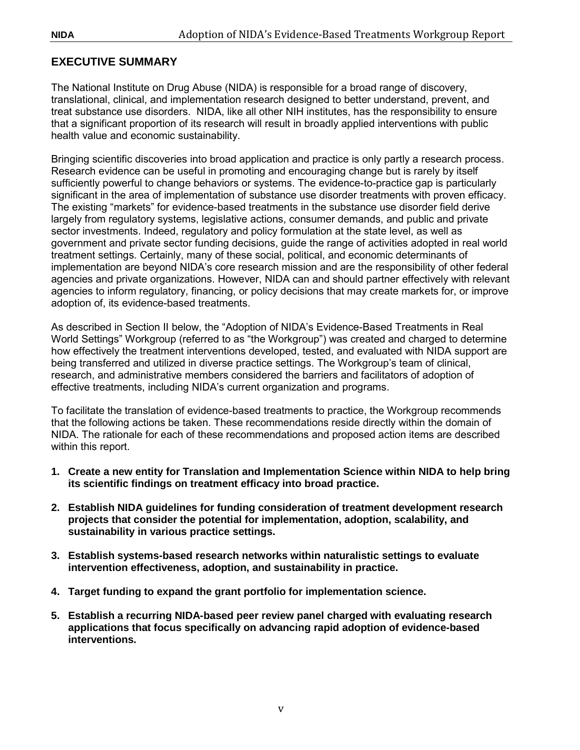# **EXECUTIVE SUMMARY**

The National Institute on Drug Abuse (NIDA) is responsible for a broad range of discovery, translational, clinical, and implementation research designed to better understand, prevent, and treat substance use disorders. NIDA, like all other NIH institutes, has the responsibility to ensure that a significant proportion of its research will result in broadly applied interventions with public health value and economic sustainability.

Bringing scientific discoveries into broad application and practice is only partly a research process. Research evidence can be useful in promoting and encouraging change but is rarely by itself sufficiently powerful to change behaviors or systems. The evidence-to-practice gap is particularly significant in the area of implementation of substance use disorder treatments with proven efficacy. The existing "markets" for evidence-based treatments in the substance use disorder field derive largely from regulatory systems, legislative actions, consumer demands, and public and private sector investments. Indeed, regulatory and policy formulation at the state level, as well as government and private sector funding decisions, guide the range of activities adopted in real world treatment settings. Certainly, many of these social, political, and economic determinants of implementation are beyond NIDA's core research mission and are the responsibility of other federal agencies and private organizations. However, NIDA can and should partner effectively with relevant agencies to inform regulatory, financing, or policy decisions that may create markets for, or improve adoption of, its evidence-based treatments.

As described in Section II below, the "Adoption of NIDA's Evidence-Based Treatments in Real World Settings" Workgroup (referred to as "the Workgroup") was created and charged to determine how effectively the treatment interventions developed, tested, and evaluated with NIDA support are being transferred and utilized in diverse practice settings. The Workgroup's team of clinical, research, and administrative members considered the barriers and facilitators of adoption of effective treatments, including NIDA's current organization and programs.

To facilitate the translation of evidence-based treatments to practice, the Workgroup recommends that the following actions be taken. These recommendations reside directly within the domain of NIDA. The rationale for each of these recommendations and proposed action items are described within this report.

- **1. Create a new entity for Translation and Implementation Science within NIDA to help bring its scientific findings on treatment efficacy into broad practice.**
- **2. Establish NIDA guidelines for funding consideration of treatment development research projects that consider the potential for implementation, adoption, scalability, and sustainability in various practice settings.**
- **3. Establish systems-based research networks within naturalistic settings to evaluate intervention effectiveness, adoption, and sustainability in practice.**
- **4. Target funding to expand the grant portfolio for implementation science.**
- **5. Establish a recurring NIDA-based peer review panel charged with evaluating research applications that focus specifically on advancing rapid adoption of evidence-based interventions.**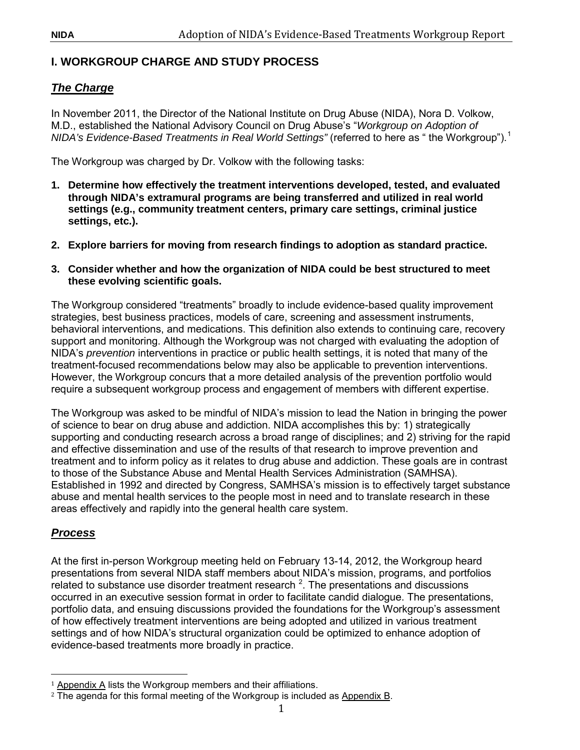# <span id="page-6-0"></span>**I. WORKGROUP CHARGE AND STUDY PROCESS**

# <span id="page-6-1"></span>*The Charge*

In November 2011, the Director of the National Institute on Drug Abuse (NIDA), Nora D. Volkow, M.D., established the National Advisory Council on Drug Abuse's "*Workgroup on Adoption of NIDA's Evidence-Based Treatments in Real World Settings"* (referred to here as " the Workgroup"). [1](#page-6-3)

The Workgroup was charged by Dr. Volkow with the following tasks:

- **1. Determine how effectively the treatment interventions developed, tested, and evaluated through NIDA's extramural programs are being transferred and utilized in real world settings (e.g., community treatment centers, primary care settings, criminal justice settings, etc.).**
- **2. Explore barriers for moving from research findings to adoption as standard practice.**
- **3. Consider whether and how the organization of NIDA could be best structured to meet these evolving scientific goals.**

The Workgroup considered "treatments" broadly to include evidence-based quality improvement strategies, best business practices, models of care, screening and assessment instruments, behavioral interventions, and medications. This definition also extends to continuing care, recovery support and monitoring. Although the Workgroup was not charged with evaluating the adoption of NIDA's *prevention* interventions in practice or public health settings, it is noted that many of the treatment-focused recommendations below may also be applicable to prevention interventions. However, the Workgroup concurs that a more detailed analysis of the prevention portfolio would require a subsequent workgroup process and engagement of members with different expertise.

The Workgroup was asked to be mindful of NIDA's mission to lead the Nation in bringing the power of science to bear on drug abuse and addiction. NIDA accomplishes this by: 1) strategically supporting and conducting research across a broad range of disciplines; and 2) striving for the rapid and effective dissemination and use of the results of that research to improve prevention and treatment and to inform policy as it relates to drug abuse and addiction. These goals are in contrast to those of the Substance Abuse and Mental Health Services Administration (SAMHSA). Established in 1992 and directed by Congress, SAMHSA's mission is to effectively target substance abuse and mental health services to the people most in need and to translate research in these areas effectively and rapidly into the general health care system.

# <span id="page-6-2"></span>*Process*

At the first in-person Workgroup meeting held on February 13-14, 2012, the Workgroup heard presentations from several NIDA staff members about NIDA's mission, programs, and portfolios related to substance use disorder treatment research  $2$ . The presentations and discussions occurred in an executive session format in order to facilitate candid dialogue. The presentations, portfolio data, and ensuing discussions provided the foundations for the Workgroup's assessment of how effectively treatment interventions are being adopted and utilized in various treatment settings and of how NIDA's structural organization could be optimized to enhance adoption of evidence-based treatments more broadly in practice.

<span id="page-6-4"></span><span id="page-6-3"></span>i<br>I  $1$  Appendix A lists the Workgroup members and their affiliations.

<sup>&</sup>lt;sup>2</sup> The agenda for this formal meeting of the Workgroup is included as Appendix B.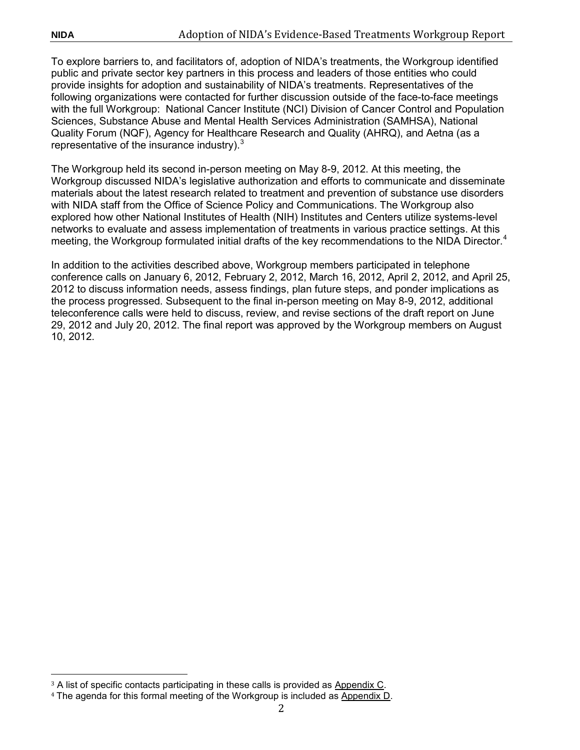To explore barriers to, and facilitators of, adoption of NIDA's treatments, the Workgroup identified public and private sector key partners in this process and leaders of those entities who could provide insights for adoption and sustainability of NIDA's treatments. Representatives of the following organizations were contacted for further discussion outside of the face-to-face meetings with the full Workgroup: National Cancer Institute (NCI) Division of Cancer Control and Population Sciences, Substance Abuse and Mental Health Services Administration (SAMHSA), National Quality Forum (NQF), Agency for Healthcare Research and Quality (AHRQ), and Aetna (as a representative of the insurance industry). $3$ 

The Workgroup held its second in-person meeting on May 8-9, 2012. At this meeting, the Workgroup discussed NIDA's legislative authorization and efforts to communicate and disseminate materials about the latest research related to treatment and prevention of substance use disorders with NIDA staff from the Office of Science Policy and Communications. The Workgroup also explored how other National Institutes of Health (NIH) Institutes and Centers utilize systems-level networks to evaluate and assess implementation of treatments in various practice settings. At this meeting, the Workgroup formulated initial drafts of the key recommendations to the NIDA Director.<sup>[4](#page-7-1)</sup>

In addition to the activities described above, Workgroup members participated in telephone conference calls on January 6, 2012, February 2, 2012, March 16, 2012, April 2, 2012, and April 25, 2012 to discuss information needs, assess findings, plan future steps, and ponder implications as the process progressed. Subsequent to the final in-person meeting on May 8-9, 2012, additional teleconference calls were held to discuss, review, and revise sections of the draft report on June 29, 2012 and July 20, 2012. The final report was approved by the Workgroup members on August 10, 2012.

<span id="page-7-0"></span>i<br>I <sup>3</sup> A list of specific contacts participating in these calls is provided as Appendix C.

<span id="page-7-1"></span><sup>4</sup> The agenda for this formal meeting of the Workgroup is included as Appendix D.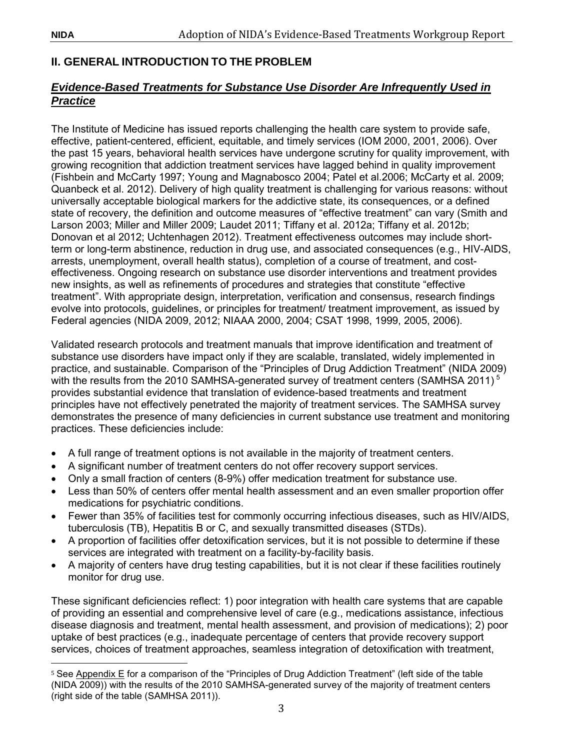# <span id="page-8-0"></span>**II. GENERAL INTRODUCTION TO THE PROBLEM**

# <span id="page-8-1"></span>*Evidence-Based Treatments for Substance Use Disorder Are Infrequently Used in Practice*

The Institute of Medicine has issued reports challenging the health care system to provide safe, effective, patient-centered, efficient, equitable, and timely services (IOM 2000, 2001, 2006). Over the past 15 years, behavioral health services have undergone scrutiny for quality improvement, with growing recognition that addiction treatment services have lagged behind in quality improvement (Fishbein and McCarty 1997; Young and Magnabosco 2004; Patel et al.2006; McCarty et al. 2009; Quanbeck et al. 2012). Delivery of high quality treatment is challenging for various reasons: without universally acceptable biological markers for the addictive state, its consequences, or a defined state of recovery, the definition and outcome measures of "effective treatment" can vary (Smith and Larson 2003; Miller and Miller 2009; Laudet 2011; Tiffany et al. 2012a; Tiffany et al. 2012b; Donovan et al 2012; Uchtenhagen 2012). Treatment effectiveness outcomes may include shortterm or long-term abstinence, reduction in drug use, and associated consequences (e.g., HIV-AIDS, arrests, unemployment, overall health status), completion of a course of treatment, and costeffectiveness. Ongoing research on substance use disorder interventions and treatment provides new insights, as well as refinements of procedures and strategies that constitute "effective treatment". With appropriate design, interpretation, verification and consensus, research findings evolve into protocols, guidelines, or principles for treatment/ treatment improvement, as issued by Federal agencies (NIDA 2009, 2012; NIAAA 2000, 2004; CSAT 1998, 1999, 2005, 2006).

Validated research protocols and treatment manuals that improve identification and treatment of substance use disorders have impact only if they are scalable, translated, widely implemented in practice, and sustainable. Comparison of the "Principles of Drug Addiction Treatment" (NIDA 2009) with the results from the 2010 SAMHSA-generated survey of treatment centers (SAMHSA 2011)<sup>[5](#page-8-2)</sup> provides substantial evidence that translation of evidence-based treatments and treatment principles have not effectively penetrated the majority of treatment services. The SAMHSA survey demonstrates the presence of many deficiencies in current substance use treatment and monitoring practices. These deficiencies include:

- A full range of treatment options is not available in the majority of treatment centers.
- A significant number of treatment centers do not offer recovery support services.
- Only a small fraction of centers (8-9%) offer medication treatment for substance use.
- Less than 50% of centers offer mental health assessment and an even smaller proportion offer medications for psychiatric conditions.
- Fewer than 35% of facilities test for commonly occurring infectious diseases, such as HIV/AIDS, tuberculosis (TB), Hepatitis B or C, and sexually transmitted diseases (STDs).
- A proportion of facilities offer detoxification services, but it is not possible to determine if these services are integrated with treatment on a facility-by-facility basis.
- A majority of centers have drug testing capabilities, but it is not clear if these facilities routinely monitor for drug use.

These significant deficiencies reflect: 1) poor integration with health care systems that are capable of providing an essential and comprehensive level of care (e.g., medications assistance, infectious disease diagnosis and treatment, mental health assessment, and provision of medications); 2) poor uptake of best practices (e.g., inadequate percentage of centers that provide recovery support services, choices of treatment approaches, seamless integration of detoxification with treatment,

<span id="page-8-2"></span>l  $^5$  See <u>Appendix E</u> for a comparison of the "Principles of Drug Addiction Treatment" (left side of the table (NIDA 2009)) with the results of the 2010 SAMHSA-generated survey of the majority of treatment centers (right side of the table (SAMHSA 2011)).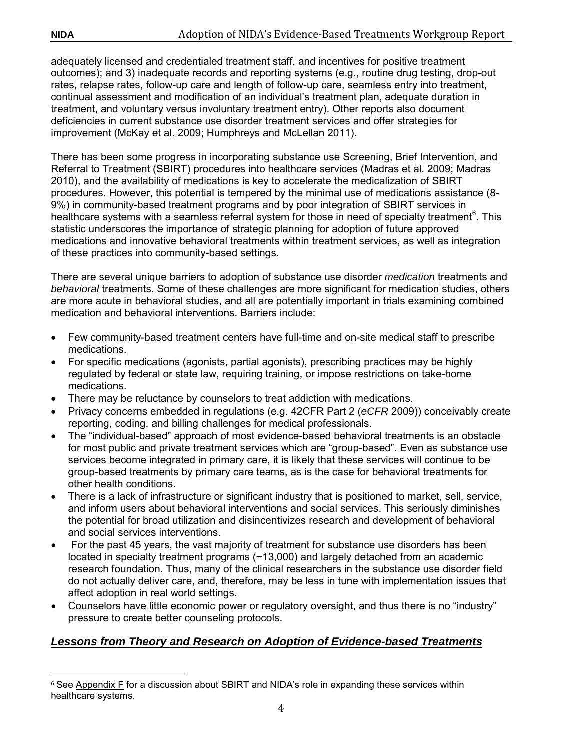adequately licensed and credentialed treatment staff, and incentives for positive treatment outcomes); and 3) inadequate records and reporting systems (e.g., routine drug testing, drop-out rates, relapse rates, follow-up care and length of follow-up care, seamless entry into treatment, continual assessment and modification of an individual's treatment plan, adequate duration in treatment, and voluntary versus involuntary treatment entry). Other reports also document deficiencies in current substance use disorder treatment services and offer strategies for improvement (McKay et al. 2009; Humphreys and McLellan 2011).

There has been some progress in incorporating substance use Screening, Brief Intervention, and Referral to Treatment (SBIRT) procedures into healthcare services (Madras et al. 2009; Madras 2010), and the availability of medications is key to accelerate the medicalization of SBIRT procedures. However, this potential is tempered by the minimal use of medications assistance (8- 9%) in community-based treatment programs and by poor integration of SBIRT services in healthcare systems with a seamless referral system for those in need of specialty treatment<sup>[6](#page-9-1)</sup>. This statistic underscores the importance of strategic planning for adoption of future approved medications and innovative behavioral treatments within treatment services, as well as integration of these practices into community-based settings.

There are several unique barriers to adoption of substance use disorder *medication* treatments and *behavioral* treatments. Some of these challenges are more significant for medication studies, others are more acute in behavioral studies, and all are potentially important in trials examining combined medication and behavioral interventions. Barriers include:

- Few community-based treatment centers have full-time and on-site medical staff to prescribe medications.
- For specific medications (agonists, partial agonists), prescribing practices may be highly regulated by federal or state law, requiring training, or impose restrictions on take-home medications.
- There may be reluctance by counselors to treat addiction with medications.
- Privacy concerns embedded in regulations (e.g. 42CFR Part 2 (*eCFR* 2009)) conceivably create reporting, coding, and billing challenges for medical professionals.
- The "individual-based" approach of most evidence-based behavioral treatments is an obstacle for most public and private treatment services which are "group-based". Even as substance use services become integrated in primary care, it is likely that these services will continue to be group-based treatments by primary care teams, as is the case for behavioral treatments for other health conditions.
- There is a lack of infrastructure or significant industry that is positioned to market, sell, service, and inform users about behavioral interventions and social services. This seriously diminishes the potential for broad utilization and disincentivizes research and development of behavioral and social services interventions.
- For the past 45 years, the vast majority of treatment for substance use disorders has been located in specialty treatment programs (~13,000) and largely detached from an academic research foundation. Thus, many of the clinical researchers in the substance use disorder field do not actually deliver care, and, therefore, may be less in tune with implementation issues that affect adoption in real world settings.
- Counselors have little economic power or regulatory oversight, and thus there is no "industry" pressure to create better counseling protocols.

# <span id="page-9-0"></span>*Lessons from Theory and Research on Adoption of Evidence-based Treatments*

<span id="page-9-1"></span>i<br>I  $^6$  See <u>Appendix F</u> for a discussion about SBIRT and NIDA's role in expanding these services within healthcare systems.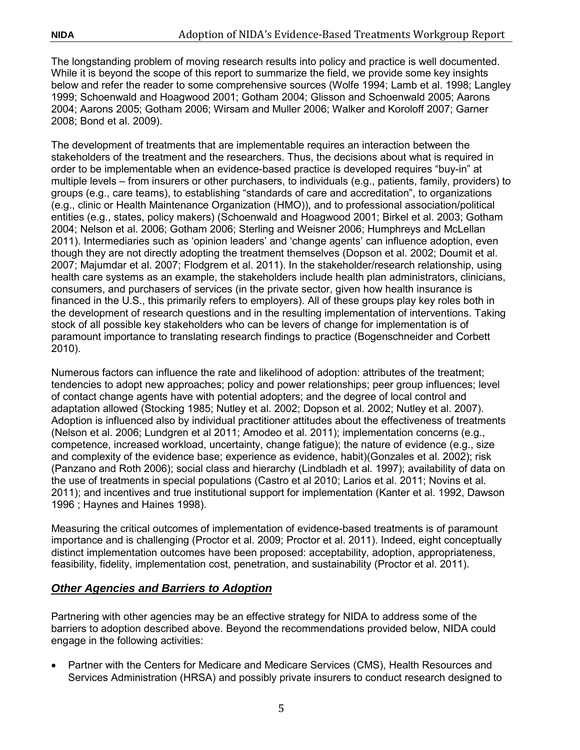The longstanding problem of moving research results into policy and practice is well documented. While it is beyond the scope of this report to summarize the field, we provide some key insights below and refer the reader to some comprehensive sources (Wolfe 1994; Lamb et al. 1998; Langley 1999; Schoenwald and Hoagwood 2001; Gotham 2004; Glisson and Schoenwald 2005; Aarons 2004; Aarons 2005; Gotham 2006; Wirsam and Muller 2006; Walker and Koroloff 2007; Garner 2008; Bond et al. 2009).

The development of treatments that are implementable requires an interaction between the stakeholders of the treatment and the researchers. Thus, the decisions about what is required in order to be implementable when an evidence-based practice is developed requires "buy-in" at multiple levels – from insurers or other purchasers, to individuals (e.g., patients, family, providers) to groups (e.g., care teams), to establishing "standards of care and accreditation", to organizations (e.g., clinic or Health Maintenance Organization (HMO)), and to professional association/political entities (e.g., states, policy makers) (Schoenwald and Hoagwood 2001; Birkel et al. 2003; Gotham 2004; Nelson et al. 2006; Gotham 2006; Sterling and Weisner 2006; Humphreys and McLellan 2011). Intermediaries such as 'opinion leaders' and 'change agents' can influence adoption, even though they are not directly adopting the treatment themselves (Dopson et al. 2002; Doumit et al. 2007; Majumdar et al. 2007; Flodgrem et al. 2011). In the stakeholder/research relationship, using health care systems as an example, the stakeholders include health plan administrators, clinicians, consumers, and purchasers of services (in the private sector, given how health insurance is financed in the U.S., this primarily refers to employers). All of these groups play key roles both in the development of research questions and in the resulting implementation of interventions. Taking stock of all possible key stakeholders who can be levers of change for implementation is of paramount importance to translating research findings to practice (Bogenschneider and Corbett 2010).

Numerous factors can influence the rate and likelihood of adoption: attributes of the treatment; tendencies to adopt new approaches; policy and power relationships; peer group influences; level of contact change agents have with potential adopters; and the degree of local control and adaptation allowed (Stocking 1985; Nutley et al. 2002; Dopson et al. 2002; Nutley et al. 2007). Adoption is influenced also by individual practitioner attitudes about the effectiveness of treatments (Nelson et al. 2006; Lundgren et al 2011; Amodeo et al. 2011); implementation concerns (e.g., competence, increased workload, uncertainty, change fatigue); the nature of evidence (e.g., size and complexity of the evidence base; experience as evidence, habit)(Gonzales et al. 2002); risk (Panzano and Roth 2006); social class and hierarchy (Lindbladh et al. 1997); availability of data on the use of treatments in special populations (Castro et al 2010; Larios et al. 2011; Novins et al. 2011); and incentives and true institutional support for implementation (Kanter et al. 1992, Dawson 1996 ; Haynes and Haines 1998).

Measuring the critical outcomes of implementation of evidence-based treatments is of paramount importance and is challenging (Proctor et al. 2009; Proctor et al. 2011). Indeed, eight conceptually distinct implementation outcomes have been proposed: acceptability, adoption, appropriateness, feasibility, fidelity, implementation cost, penetration, and sustainability (Proctor et al. 2011).

# <span id="page-10-0"></span>*Other Agencies and Barriers to Adoption*

Partnering with other agencies may be an effective strategy for NIDA to address some of the barriers to adoption described above. Beyond the recommendations provided below, NIDA could engage in the following activities:

• Partner with the Centers for Medicare and Medicare Services (CMS), Health Resources and Services Administration (HRSA) and possibly private insurers to conduct research designed to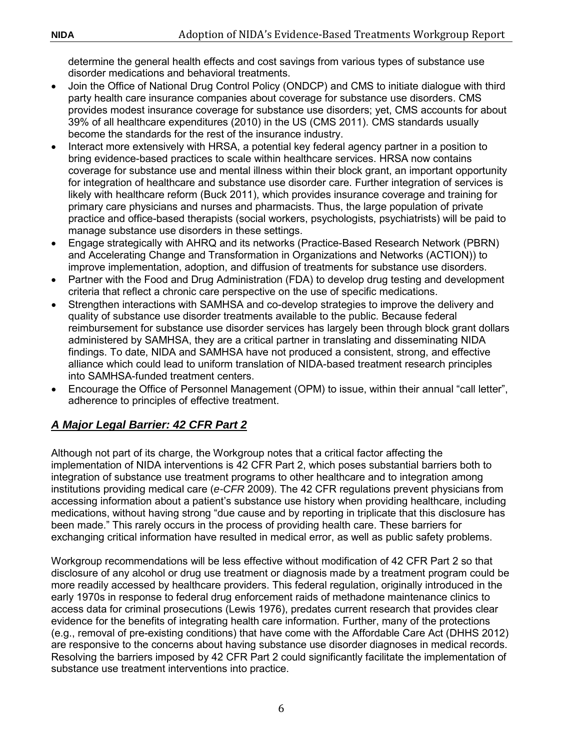determine the general health effects and cost savings from various types of substance use disorder medications and behavioral treatments.

- Join the Office of National Drug Control Policy (ONDCP) and CMS to initiate dialogue with third party health care insurance companies about coverage for substance use disorders. CMS provides modest insurance coverage for substance use disorders; yet, CMS accounts for about 39% of all healthcare expenditures (2010) in the US (CMS 2011). CMS standards usually become the standards for the rest of the insurance industry.
- Interact more extensively with HRSA, a potential key federal agency partner in a position to bring evidence-based practices to scale within healthcare services. HRSA now contains coverage for substance use and mental illness within their block grant, an important opportunity for integration of healthcare and substance use disorder care. Further integration of services is likely with healthcare reform (Buck 2011), which provides insurance coverage and training for primary care physicians and nurses and pharmacists. Thus, the large population of private practice and office-based therapists (social workers, psychologists, psychiatrists) will be paid to manage substance use disorders in these settings.
- Engage strategically with AHRQ and its networks (Practice-Based Research Network (PBRN) and Accelerating Change and Transformation in Organizations and Networks (ACTION)) to improve implementation, adoption, and diffusion of treatments for substance use disorders.
- Partner with the Food and Drug Administration (FDA) to develop drug testing and development criteria that reflect a chronic care perspective on the use of specific medications.
- Strengthen interactions with SAMHSA and co-develop strategies to improve the delivery and quality of substance use disorder treatments available to the public. Because federal reimbursement for substance use disorder services has largely been through block grant dollars administered by SAMHSA, they are a critical partner in translating and disseminating NIDA findings. To date, NIDA and SAMHSA have not produced a consistent, strong, and effective alliance which could lead to uniform translation of NIDA-based treatment research principles into SAMHSA-funded treatment centers.
- Encourage the Office of Personnel Management (OPM) to issue, within their annual "call letter", adherence to principles of effective treatment.

# <span id="page-11-0"></span>*A Major Legal Barrier: 42 CFR Part 2*

Although not part of its charge, the Workgroup notes that a critical factor affecting the implementation of NIDA interventions is 42 CFR Part 2, which poses substantial barriers both to integration of substance use treatment programs to other healthcare and to integration among institutions providing medical care (*e-CFR* 2009). The 42 CFR regulations prevent physicians from accessing information about a patient's substance use history when providing healthcare, including medications, without having strong "due cause and by reporting in triplicate that this disclosure has been made." This rarely occurs in the process of providing health care. These barriers for exchanging critical information have resulted in medical error, as well as public safety problems.

Workgroup recommendations will be less effective without modification of 42 CFR Part 2 so that disclosure of any alcohol or drug use treatment or diagnosis made by a treatment program could be more readily accessed by healthcare providers. This federal regulation, originally introduced in the early 1970s in response to federal drug enforcement raids of methadone maintenance clinics to access data for criminal prosecutions (Lewis 1976), predates current research that provides clear evidence for the benefits of integrating health care information. Further, many of the protections (e.g., removal of pre-existing conditions) that have come with the Affordable Care Act (DHHS 2012) are responsive to the concerns about having substance use disorder diagnoses in medical records. Resolving the barriers imposed by 42 CFR Part 2 could significantly facilitate the implementation of substance use treatment interventions into practice.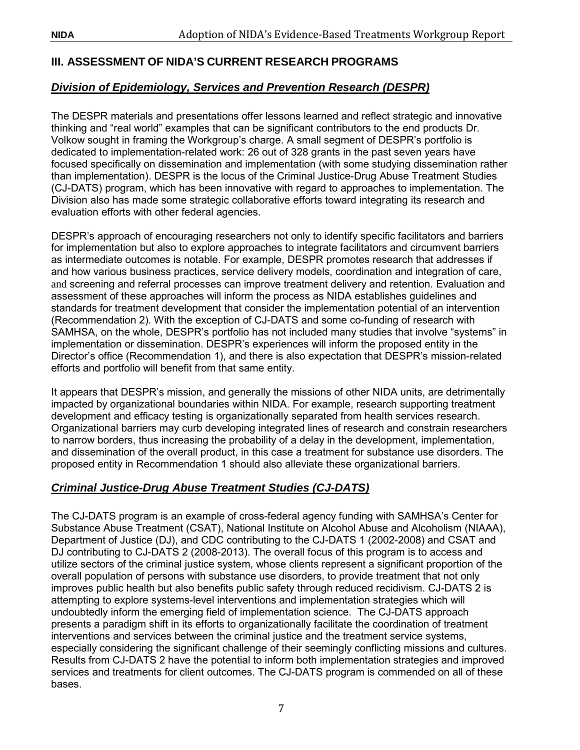# <span id="page-12-0"></span>**III. ASSESSMENT OF NIDA'S CURRENT RESEARCH PROGRAMS**

# <span id="page-12-1"></span>*Division of Epidemiology, Services and Prevention Research (DESPR)*

The DESPR materials and presentations offer lessons learned and reflect strategic and innovative thinking and "real world" examples that can be significant contributors to the end products Dr. Volkow sought in framing the Workgroup's charge. A small segment of DESPR's portfolio is dedicated to implementation-related work: 26 out of 328 grants in the past seven years have focused specifically on dissemination and implementation (with some studying dissemination rather than implementation). DESPR is the locus of the Criminal Justice-Drug Abuse Treatment Studies (CJ-DATS) program, which has been innovative with regard to approaches to implementation. The Division also has made some strategic collaborative efforts toward integrating its research and evaluation efforts with other federal agencies.

DESPR's approach of encouraging researchers not only to identify specific facilitators and barriers for implementation but also to explore approaches to integrate facilitators and circumvent barriers as intermediate outcomes is notable. For example, DESPR promotes research that addresses if and how various business practices, service delivery models, coordination and integration of care, and screening and referral processes can improve treatment delivery and retention. Evaluation and assessment of these approaches will inform the process as NIDA establishes guidelines and standards for treatment development that consider the implementation potential of an intervention (Recommendation 2). With the exception of CJ-DATS and some co-funding of research with SAMHSA, on the whole, DESPR's portfolio has not included many studies that involve "systems" in implementation or dissemination. DESPR's experiences will inform the proposed entity in the Director's office (Recommendation 1), and there is also expectation that DESPR's mission-related efforts and portfolio will benefit from that same entity.

It appears that DESPR's mission, and generally the missions of other NIDA units, are detrimentally impacted by organizational boundaries within NIDA. For example, research supporting treatment development and efficacy testing is organizationally separated from health services research. Organizational barriers may curb developing integrated lines of research and constrain researchers to narrow borders, thus increasing the probability of a delay in the development, implementation, and dissemination of the overall product, in this case a treatment for substance use disorders. The proposed entity in Recommendation 1 should also alleviate these organizational barriers.

#### <span id="page-12-2"></span>*Criminal Justice-Drug Abuse Treatment Studies (CJ-DATS)*

The CJ-DATS program is an example of cross-federal agency funding with SAMHSA's Center for Substance Abuse Treatment (CSAT), National Institute on Alcohol Abuse and Alcoholism (NIAAA), Department of Justice (DJ), and CDC contributing to the CJ-DATS 1 (2002-2008) and CSAT and DJ contributing to CJ-DATS 2 (2008-2013). The overall focus of this program is to access and utilize sectors of the criminal justice system, whose clients represent a significant proportion of the overall population of persons with substance use disorders, to provide treatment that not only improves public health but also benefits public safety through reduced recidivism. CJ-DATS 2 is attempting to explore systems-level interventions and implementation strategies which will undoubtedly inform the emerging field of implementation science. The CJ-DATS approach presents a paradigm shift in its efforts to organizationally facilitate the coordination of treatment interventions and services between the criminal justice and the treatment service systems, especially considering the significant challenge of their seemingly conflicting missions and cultures. Results from CJ-DATS 2 have the potential to inform both implementation strategies and improved services and treatments for client outcomes. The CJ-DATS program is commended on all of these bases.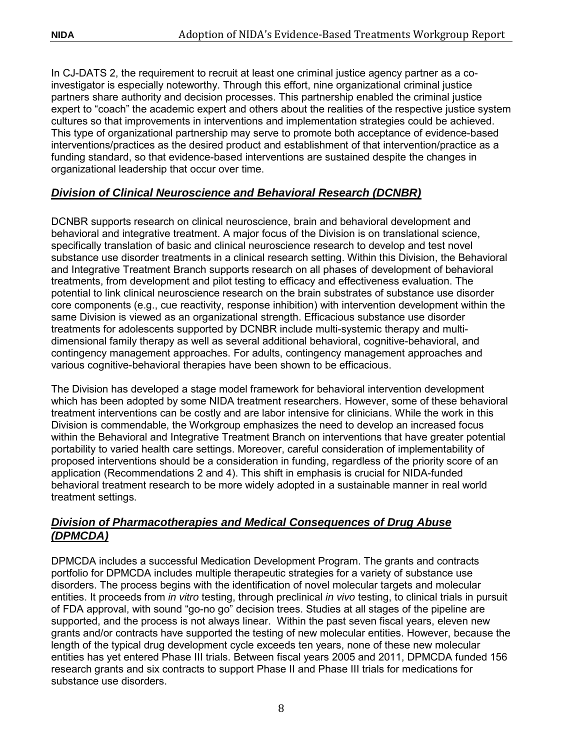In CJ-DATS 2, the requirement to recruit at least one criminal justice agency partner as a coinvestigator is especially noteworthy. Through this effort, nine organizational criminal justice partners share authority and decision processes. This partnership enabled the criminal justice expert to "coach" the academic expert and others about the realities of the respective justice system cultures so that improvements in interventions and implementation strategies could be achieved. This type of organizational partnership may serve to promote both acceptance of evidence-based interventions/practices as the desired product and establishment of that intervention/practice as a funding standard, so that evidence-based interventions are sustained despite the changes in organizational leadership that occur over time.

# <span id="page-13-0"></span>*Division of Clinical Neuroscience and Behavioral Research (DCNBR)*

DCNBR supports research on clinical neuroscience, brain and behavioral development and behavioral and integrative treatment. A major focus of the Division is on translational science, specifically translation of basic and clinical neuroscience research to develop and test novel substance use disorder treatments in a clinical research setting. Within this Division, the Behavioral and Integrative Treatment Branch supports research on all phases of development of behavioral treatments, from development and pilot testing to efficacy and effectiveness evaluation. The potential to link clinical neuroscience research on the brain substrates of substance use disorder core components (e.g., cue reactivity, response inhibition) with intervention development within the same Division is viewed as an organizational strength. Efficacious substance use disorder treatments for adolescents supported by DCNBR include multi-systemic therapy and multidimensional family therapy as well as several additional behavioral, cognitive-behavioral, and contingency management approaches. For adults, contingency management approaches and various cognitive-behavioral therapies have been shown to be efficacious.

The Division has developed a stage model framework for behavioral intervention development which has been adopted by some NIDA treatment researchers. However, some of these behavioral treatment interventions can be costly and are labor intensive for clinicians. While the work in this Division is commendable, the Workgroup emphasizes the need to develop an increased focus within the Behavioral and Integrative Treatment Branch on interventions that have greater potential portability to varied health care settings. Moreover, careful consideration of implementability of proposed interventions should be a consideration in funding, regardless of the priority score of an application (Recommendations 2 and 4). This shift in emphasis is crucial for NIDA-funded behavioral treatment research to be more widely adopted in a sustainable manner in real world treatment settings.

# <span id="page-13-1"></span>*Division of Pharmacotherapies and Medical Consequences of Drug Abuse (DPMCDA)*

DPMCDA includes a successful Medication Development Program. The grants and contracts portfolio for DPMCDA includes multiple therapeutic strategies for a variety of substance use disorders. The process begins with the identification of novel molecular targets and molecular entities. It proceeds from *in vitro* testing, through preclinical *in vivo* testing, to clinical trials in pursuit of FDA approval, with sound "go-no go" decision trees. Studies at all stages of the pipeline are supported, and the process is not always linear. Within the past seven fiscal years, eleven new grants and/or contracts have supported the testing of new molecular entities. However, because the length of the typical drug development cycle exceeds ten years, none of these new molecular entities has yet entered Phase III trials. Between fiscal years 2005 and 2011, DPMCDA funded 156 research grants and six contracts to support Phase II and Phase III trials for medications for substance use disorders.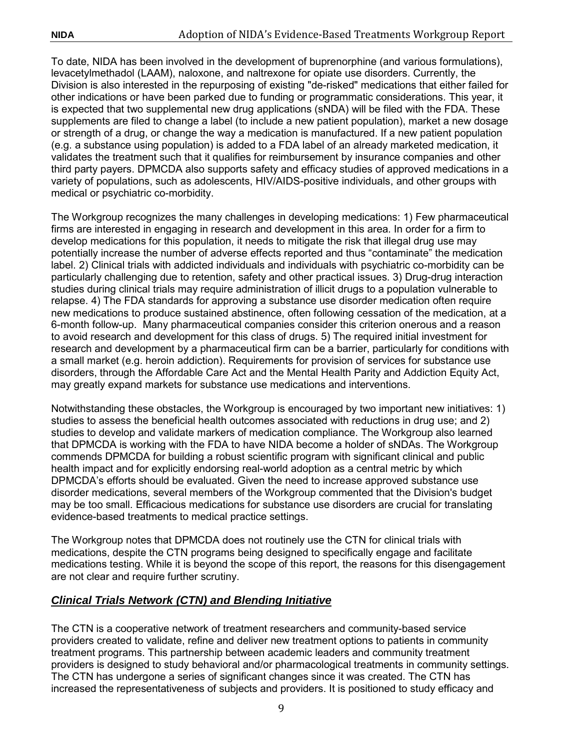To date, NIDA has been involved in the development of buprenorphine (and various formulations), levacetylmethadol (LAAM), naloxone, and naltrexone for opiate use disorders. Currently, the Division is also interested in the repurposing of existing "de-risked" medications that either failed for other indications or have been parked due to funding or programmatic considerations. This year, it is expected that two supplemental new drug applications (sNDA) will be filed with the FDA. These supplements are filed to change a label (to include a new patient population), market a new dosage or strength of a drug, or change the way a medication is manufactured. If a new patient population (e.g. a substance using population) is added to a FDA label of an already marketed medication, it validates the treatment such that it qualifies for reimbursement by insurance companies and other third party payers. DPMCDA also supports safety and efficacy studies of approved medications in a variety of populations, such as adolescents, HIV/AIDS-positive individuals, and other groups with medical or psychiatric co-morbidity.

The Workgroup recognizes the many challenges in developing medications: 1) Few pharmaceutical firms are interested in engaging in research and development in this area. In order for a firm to develop medications for this population, it needs to mitigate the risk that illegal drug use may potentially increase the number of adverse effects reported and thus "contaminate" the medication label. 2) Clinical trials with addicted individuals and individuals with psychiatric co-morbidity can be particularly challenging due to retention, safety and other practical issues. 3) Drug-drug interaction studies during clinical trials may require administration of illicit drugs to a population vulnerable to relapse. 4) The FDA standards for approving a substance use disorder medication often require new medications to produce sustained abstinence, often following cessation of the medication, at a 6-month follow-up. Many pharmaceutical companies consider this criterion onerous and a reason to avoid research and development for this class of drugs. 5) The required initial investment for research and development by a pharmaceutical firm can be a barrier, particularly for conditions with a small market (e.g. heroin addiction). Requirements for provision of services for substance use disorders, through the Affordable Care Act and the Mental Health Parity and Addiction Equity Act, may greatly expand markets for substance use medications and interventions.

Notwithstanding these obstacles, the Workgroup is encouraged by two important new initiatives: 1) studies to assess the beneficial health outcomes associated with reductions in drug use; and 2) studies to develop and validate markers of medication compliance. The Workgroup also learned that DPMCDA is working with the FDA to have NIDA become a holder of sNDAs. The Workgroup commends DPMCDA for building a robust scientific program with significant clinical and public health impact and for explicitly endorsing real-world adoption as a central metric by which DPMCDA's efforts should be evaluated. Given the need to increase approved substance use disorder medications, several members of the Workgroup commented that the Division's budget may be too small. Efficacious medications for substance use disorders are crucial for translating evidence-based treatments to medical practice settings.

The Workgroup notes that DPMCDA does not routinely use the CTN for clinical trials with medications, despite the CTN programs being designed to specifically engage and facilitate medications testing. While it is beyond the scope of this report, the reasons for this disengagement are not clear and require further scrutiny.

# <span id="page-14-0"></span>*Clinical Trials Network (CTN) and Blending Initiative*

The CTN is a cooperative network of treatment researchers and community-based service providers created to validate, refine and deliver new treatment options to patients in community treatment programs. This partnership between academic leaders and community treatment providers is designed to study behavioral and/or pharmacological treatments in community settings. The CTN has undergone a series of significant changes since it was created. The CTN has increased the representativeness of subjects and providers. It is positioned to study efficacy and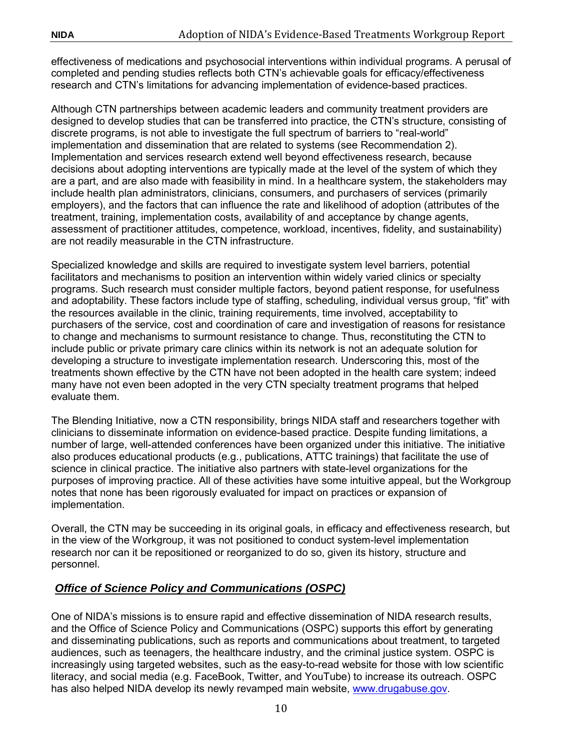effectiveness of medications and psychosocial interventions within individual programs. A perusal of completed and pending studies reflects both CTN's achievable goals for efficacy/effectiveness research and CTN's limitations for advancing implementation of evidence-based practices.

Although CTN partnerships between academic leaders and community treatment providers are designed to develop studies that can be transferred into practice, the CTN's structure, consisting of discrete programs, is not able to investigate the full spectrum of barriers to "real-world" implementation and dissemination that are related to systems (see Recommendation 2). Implementation and services research extend well beyond effectiveness research, because decisions about adopting interventions are typically made at the level of the system of which they are a part, and are also made with feasibility in mind. In a healthcare system, the stakeholders may include health plan administrators, clinicians, consumers, and purchasers of services (primarily employers), and the factors that can influence the rate and likelihood of adoption (attributes of the treatment, training, implementation costs, availability of and acceptance by change agents, assessment of practitioner attitudes, competence, workload, incentives, fidelity, and sustainability) are not readily measurable in the CTN infrastructure.

Specialized knowledge and skills are required to investigate system level barriers, potential facilitators and mechanisms to position an intervention within widely varied clinics or specialty programs. Such research must consider multiple factors, beyond patient response, for usefulness and adoptability. These factors include type of staffing, scheduling, individual versus group, "fit" with the resources available in the clinic, training requirements, time involved, acceptability to purchasers of the service, cost and coordination of care and investigation of reasons for resistance to change and mechanisms to surmount resistance to change. Thus, reconstituting the CTN to include public or private primary care clinics within its network is not an adequate solution for developing a structure to investigate implementation research. Underscoring this, most of the treatments shown effective by the CTN have not been adopted in the health care system; indeed many have not even been adopted in the very CTN specialty treatment programs that helped evaluate them.

The Blending Initiative, now a CTN responsibility, brings NIDA staff and researchers together with clinicians to disseminate information on evidence-based practice. Despite funding limitations, a number of large, well-attended conferences have been organized under this initiative. The initiative also produces educational products (e.g., publications, ATTC trainings) that facilitate the use of science in clinical practice. The initiative also partners with state-level organizations for the purposes of improving practice. All of these activities have some intuitive appeal, but the Workgroup notes that none has been rigorously evaluated for impact on practices or expansion of implementation.

Overall, the CTN may be succeeding in its original goals, in efficacy and effectiveness research, but in the view of the Workgroup, it was not positioned to conduct system-level implementation research nor can it be repositioned or reorganized to do so, given its history, structure and personnel.

# <span id="page-15-0"></span>*Office of Science Policy and Communications (OSPC)*

One of NIDA's missions is to ensure rapid and effective dissemination of NIDA research results, and the Office of Science Policy and Communications (OSPC) supports this effort by generating and disseminating publications, such as reports and communications about treatment, to targeted audiences, such as teenagers, the healthcare industry, and the criminal justice system. OSPC is increasingly using targeted websites, such as the easy-to-read website for those with low scientific literacy, and social media (e.g. FaceBook, Twitter, and YouTube) to increase its outreach. OSPC has also helped NIDA develop its newly revamped main website, [www.drugabuse.gov.](http://www.drugabuse.gov/)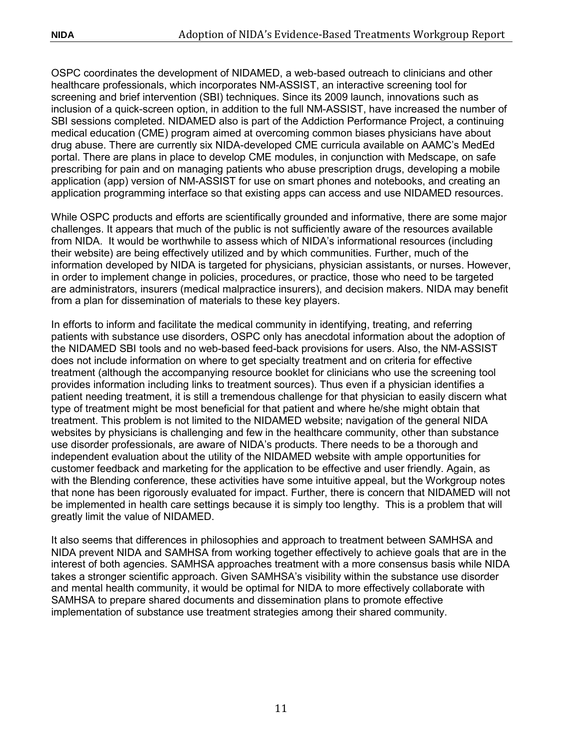OSPC coordinates the development of NIDAMED, a web-based outreach to clinicians and other healthcare professionals, which incorporates NM-ASSIST, an interactive screening tool for screening and brief intervention (SBI) techniques. Since its 2009 launch, innovations such as inclusion of a quick-screen option, in addition to the full NM-ASSIST, have increased the number of SBI sessions completed. NIDAMED also is part of the Addiction Performance Project, a continuing medical education (CME) program aimed at overcoming common biases physicians have about drug abuse. There are currently six NIDA-developed CME curricula available on AAMC's MedEd portal. There are plans in place to develop CME modules, in conjunction with Medscape, on safe prescribing for pain and on managing patients who abuse prescription drugs, developing a mobile application (app) version of NM-ASSIST for use on smart phones and notebooks, and creating an application programming interface so that existing apps can access and use NIDAMED resources.

While OSPC products and efforts are scientifically grounded and informative, there are some major challenges. It appears that much of the public is not sufficiently aware of the resources available from NIDA. It would be worthwhile to assess which of NIDA's informational resources (including their website) are being effectively utilized and by which communities. Further, much of the information developed by NIDA is targeted for physicians, physician assistants, or nurses. However, in order to implement change in policies, procedures, or practice, those who need to be targeted are administrators, insurers (medical malpractice insurers), and decision makers. NIDA may benefit from a plan for dissemination of materials to these key players.

In efforts to inform and facilitate the medical community in identifying, treating, and referring patients with substance use disorders, OSPC only has anecdotal information about the adoption of the NIDAMED SBI tools and no web-based feed-back provisions for users. Also, the NM-ASSIST does not include information on where to get specialty treatment and on criteria for effective treatment (although the accompanying resource booklet for clinicians who use the screening tool provides information including links to treatment sources). Thus even if a physician identifies a patient needing treatment, it is still a tremendous challenge for that physician to easily discern what type of treatment might be most beneficial for that patient and where he/she might obtain that treatment. This problem is not limited to the NIDAMED website; navigation of the general NIDA websites by physicians is challenging and few in the healthcare community, other than substance use disorder professionals, are aware of NIDA's products. There needs to be a thorough and independent evaluation about the utility of the NIDAMED website with ample opportunities for customer feedback and marketing for the application to be effective and user friendly. Again, as with the Blending conference, these activities have some intuitive appeal, but the Workgroup notes that none has been rigorously evaluated for impact. Further, there is concern that NIDAMED will not be implemented in health care settings because it is simply too lengthy. This is a problem that will greatly limit the value of NIDAMED.

It also seems that differences in philosophies and approach to treatment between SAMHSA and NIDA prevent NIDA and SAMHSA from working together effectively to achieve goals that are in the interest of both agencies. SAMHSA approaches treatment with a more consensus basis while NIDA takes a stronger scientific approach. Given SAMHSA's visibility within the substance use disorder and mental health community, it would be optimal for NIDA to more effectively collaborate with SAMHSA to prepare shared documents and dissemination plans to promote effective implementation of substance use treatment strategies among their shared community.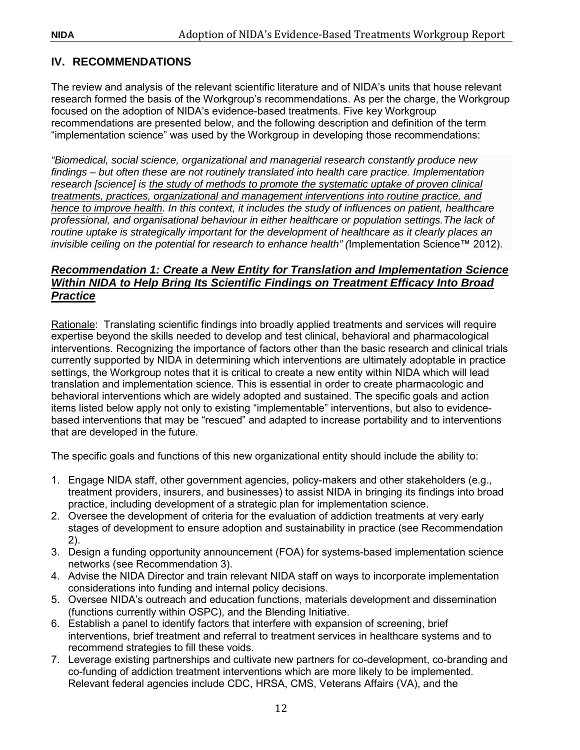# <span id="page-17-0"></span>**IV. RECOMMENDATIONS**

The review and analysis of the relevant scientific literature and of NIDA's units that house relevant research formed the basis of the Workgroup's recommendations. As per the charge, the Workgroup focused on the adoption of NIDA's evidence-based treatments. Five key Workgroup recommendations are presented below, and the following description and definition of the term "implementation science" was used by the Workgroup in developing those recommendations:

*"Biomedical, social science, organizational and managerial research constantly produce new findings – but often these are not routinely translated into health care practice. Implementation research [science] is the study of methods to promote the systematic uptake of proven clinical treatments, practices, organizational and management interventions into routine practice, and hence to improve health. In this context, it includes the study of influences on patient, healthcare professional, and organisational behaviour in either healthcare or population settings.The lack of routine uptake is strategically important for the development of healthcare as it clearly places an invisible ceiling on the potential for research to enhance health" (*Implementation Science™ 2012).

# <span id="page-17-1"></span>*Recommendation 1: Create a New Entity for Translation and Implementation Science Within NIDA to Help Bring Its Scientific Findings on Treatment Efficacy Into Broad Practice*

Rationale: Translating scientific findings into broadly applied treatments and services will require expertise beyond the skills needed to develop and test clinical, behavioral and pharmacological interventions. Recognizing the importance of factors other than the basic research and clinical trials currently supported by NIDA in determining which interventions are ultimately adoptable in practice settings, the Workgroup notes that it is critical to create a new entity within NIDA which will lead translation and implementation science. This is essential in order to create pharmacologic and behavioral interventions which are widely adopted and sustained. The specific goals and action items listed below apply not only to existing "implementable" interventions, but also to evidencebased interventions that may be "rescued" and adapted to increase portability and to interventions that are developed in the future.

The specific goals and functions of this new organizational entity should include the ability to:

- 1. Engage NIDA staff, other government agencies, policy-makers and other stakeholders (e.g., treatment providers, insurers, and businesses) to assist NIDA in bringing its findings into broad practice, including development of a strategic plan for implementation science.
- 2. Oversee the development of criteria for the evaluation of addiction treatments at very early stages of development to ensure adoption and sustainability in practice (see Recommendation 2).
- 3. Design a funding opportunity announcement (FOA) for systems-based implementation science networks (see Recommendation 3).
- 4. Advise the NIDA Director and train relevant NIDA staff on ways to incorporate implementation considerations into funding and internal policy decisions.
- 5. Oversee NIDA's outreach and education functions, materials development and dissemination (functions currently within OSPC), and the Blending Initiative.
- 6. Establish a panel to identify factors that interfere with expansion of screening, brief interventions, brief treatment and referral to treatment services in healthcare systems and to recommend strategies to fill these voids.
- 7. Leverage existing partnerships and cultivate new partners for co-development, co-branding and co-funding of addiction treatment interventions which are more likely to be implemented. Relevant federal agencies include CDC, HRSA, CMS, Veterans Affairs (VA), and the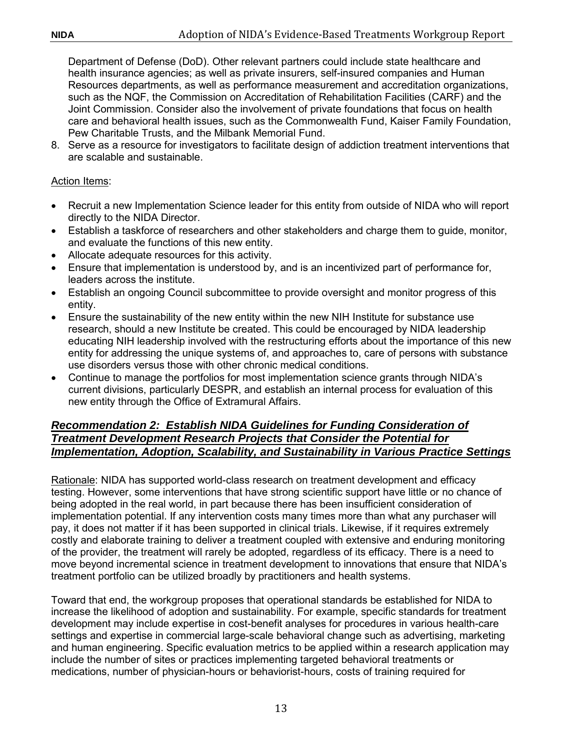Department of Defense (DoD). Other relevant partners could include state healthcare and health insurance agencies; as well as private insurers, self-insured companies and Human Resources departments, as well as performance measurement and accreditation organizations, such as the NQF, the Commission on Accreditation of Rehabilitation Facilities (CARF) and the Joint Commission. Consider also the involvement of private foundations that focus on health care and behavioral health issues, such as the Commonwealth Fund, Kaiser Family Foundation, Pew Charitable Trusts, and the Milbank Memorial Fund.

8. Serve as a resource for investigators to facilitate design of addiction treatment interventions that are scalable and sustainable.

#### Action Items:

- Recruit a new Implementation Science leader for this entity from outside of NIDA who will report directly to the NIDA Director.
- Establish a taskforce of researchers and other stakeholders and charge them to guide, monitor, and evaluate the functions of this new entity.
- Allocate adequate resources for this activity.
- Ensure that implementation is understood by, and is an incentivized part of performance for, leaders across the institute.
- Establish an ongoing Council subcommittee to provide oversight and monitor progress of this entity.
- Ensure the sustainability of the new entity within the new NIH Institute for substance use research, should a new Institute be created. This could be encouraged by NIDA leadership educating NIH leadership involved with the restructuring efforts about the importance of this new entity for addressing the unique systems of, and approaches to, care of persons with substance use disorders versus those with other chronic medical conditions.
- Continue to manage the portfolios for most implementation science grants through NIDA's current divisions, particularly DESPR, and establish an internal process for evaluation of this new entity through the Office of Extramural Affairs.

#### <span id="page-18-0"></span>*Recommendation 2: Establish NIDA Guidelines for Funding Consideration of Treatment Development Research Projects that Consider the Potential for Implementation, Adoption, Scalability, and Sustainability in Various Practice Settings*

Rationale: NIDA has supported world-class research on treatment development and efficacy testing. However, some interventions that have strong scientific support have little or no chance of being adopted in the real world, in part because there has been insufficient consideration of implementation potential. If any intervention costs many times more than what any purchaser will pay, it does not matter if it has been supported in clinical trials. Likewise, if it requires extremely costly and elaborate training to deliver a treatment coupled with extensive and enduring monitoring of the provider, the treatment will rarely be adopted, regardless of its efficacy. There is a need to move beyond incremental science in treatment development to innovations that ensure that NIDA's treatment portfolio can be utilized broadly by practitioners and health systems.

Toward that end, the workgroup proposes that operational standards be established for NIDA to increase the likelihood of adoption and sustainability. For example, specific standards for treatment development may include expertise in cost-benefit analyses for procedures in various health-care settings and expertise in commercial large-scale behavioral change such as advertising, marketing and human engineering. Specific evaluation metrics to be applied within a research application may include the number of sites or practices implementing targeted behavioral treatments or medications, number of physician-hours or behaviorist-hours, costs of training required for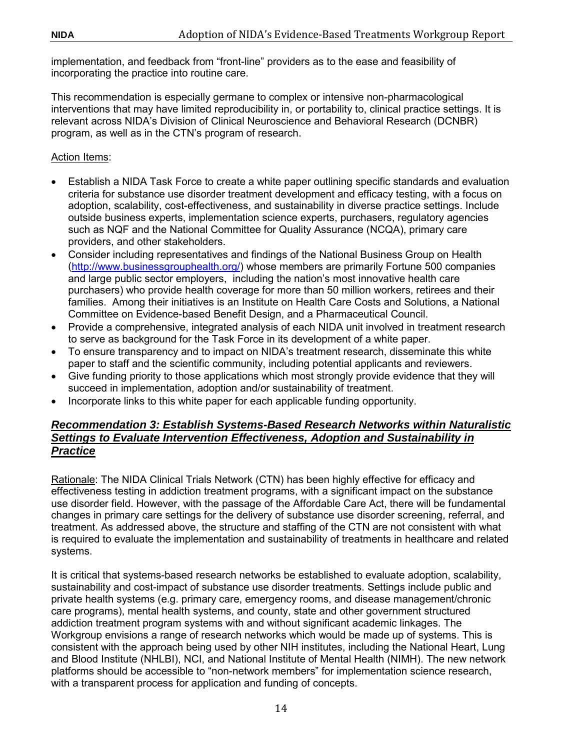implementation, and feedback from "front-line" providers as to the ease and feasibility of incorporating the practice into routine care.

This recommendation is especially germane to complex or intensive non-pharmacological interventions that may have limited reproducibility in, or portability to, clinical practice settings. It is relevant across NIDA's Division of Clinical Neuroscience and Behavioral Research (DCNBR) program, as well as in the CTN's program of research.

Action Items:

- Establish a NIDA Task Force to create a white paper outlining specific standards and evaluation criteria for substance use disorder treatment development and efficacy testing, with a focus on adoption, scalability, cost-effectiveness, and sustainability in diverse practice settings. Include outside business experts, implementation science experts, purchasers, regulatory agencies such as NQF and the National Committee for Quality Assurance (NCQA), primary care providers, and other stakeholders.
- Consider including representatives and findings of the National Business Group on Health [\(http://www.businessgrouphealth.org/\)](http://www.businessgrouphealth.org/) whose members are primarily Fortune 500 companies and large public sector employers, including the nation's most innovative health care purchasers) who provide health coverage for more than 50 million workers, retirees and their families. Among their initiatives is an Institute on Health Care Costs and Solutions, a National Committee on Evidence-based Benefit Design, and a Pharmaceutical Council.
- Provide a comprehensive, integrated analysis of each NIDA unit involved in treatment research to serve as background for the Task Force in its development of a white paper.
- To ensure transparency and to impact on NIDA's treatment research, disseminate this white paper to staff and the scientific community, including potential applicants and reviewers.
- Give funding priority to those applications which most strongly provide evidence that they will succeed in implementation, adoption and/or sustainability of treatment.
- <span id="page-19-0"></span>• Incorporate links to this white paper for each applicable funding opportunity.

#### *Recommendation 3: Establish Systems-Based Research Networks within Naturalistic Settings to Evaluate Intervention Effectiveness, Adoption and Sustainability in Practice*

Rationale: The NIDA Clinical Trials Network (CTN) has been highly effective for efficacy and effectiveness testing in addiction treatment programs, with a significant impact on the substance use disorder field. However, with the passage of the Affordable Care Act, there will be fundamental changes in primary care settings for the delivery of substance use disorder screening, referral, and treatment. As addressed above, the structure and staffing of the CTN are not consistent with what is required to evaluate the implementation and sustainability of treatments in healthcare and related systems.

It is critical that systems-based research networks be established to evaluate adoption, scalability, sustainability and cost-impact of substance use disorder treatments. Settings include public and private health systems (e.g. primary care, emergency rooms, and disease management/chronic care programs), mental health systems, and county, state and other government structured addiction treatment program systems with and without significant academic linkages. The Workgroup envisions a range of research networks which would be made up of systems. This is consistent with the approach being used by other NIH institutes, including the National Heart, Lung and Blood Institute (NHLBI), NCI, and National Institute of Mental Health (NIMH). The new network platforms should be accessible to "non-network members" for implementation science research, with a transparent process for application and funding of concepts.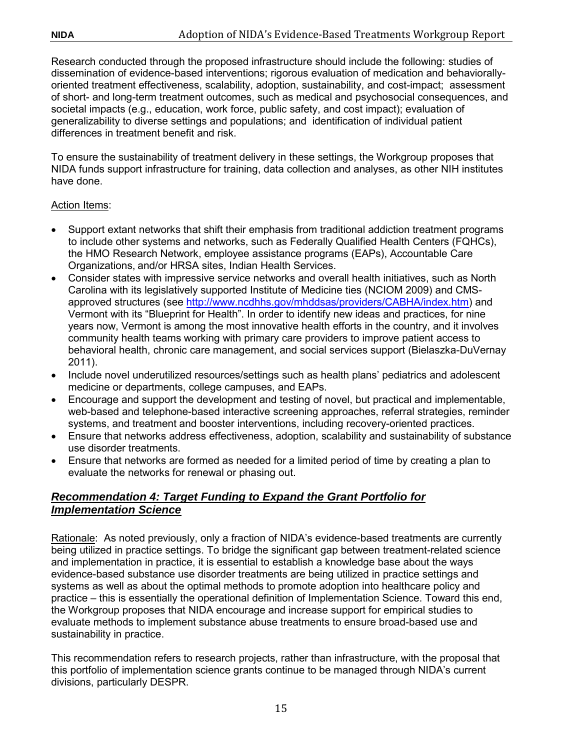Research conducted through the proposed infrastructure should include the following: studies of dissemination of evidence-based interventions; rigorous evaluation of medication and behaviorallyoriented treatment effectiveness, scalability, adoption, sustainability, and cost-impact; assessment of short- and long-term treatment outcomes, such as medical and psychosocial consequences, and societal impacts (e.g., education, work force, public safety, and cost impact); evaluation of generalizability to diverse settings and populations; and identification of individual patient differences in treatment benefit and risk.

To ensure the sustainability of treatment delivery in these settings, the Workgroup proposes that NIDA funds support infrastructure for training, data collection and analyses, as other NIH institutes have done.

# Action Items:

- Support extant networks that shift their emphasis from traditional addiction treatment programs to include other systems and networks, such as Federally Qualified Health Centers (FQHCs), the HMO Research Network, employee assistance programs (EAPs), Accountable Care Organizations, and/or HRSA sites, Indian Health Services.
- Consider states with impressive service networks and overall health initiatives, such as North Carolina with its legislatively supported Institute of Medicine ties (NCIOM 2009) and CMSapproved structures (see [http://www.ncdhhs.gov/mhddsas/providers/CABHA/index.htm\)](http://www.ncdhhs.gov/mhddsas/providers/CABHA/index.htm) and Vermont with its "Blueprint for Health". In order to identify new ideas and practices, for nine years now, Vermont is among the most innovative health efforts in the country, and it involves community health teams working with primary care providers to improve patient access to behavioral health, chronic care management, and social services support (Bielaszka-DuVernay 2011).
- Include novel underutilized resources/settings such as health plans' pediatrics and adolescent medicine or departments, college campuses, and EAPs.
- Encourage and support the development and testing of novel, but practical and implementable, web-based and telephone-based interactive screening approaches, referral strategies, reminder systems, and treatment and booster interventions, including recovery-oriented practices.
- Ensure that networks address effectiveness, adoption, scalability and sustainability of substance use disorder treatments.
- Ensure that networks are formed as needed for a limited period of time by creating a plan to evaluate the networks for renewal or phasing out.

# <span id="page-20-0"></span>*Recommendation 4: Target Funding to Expand the Grant Portfolio for Implementation Science*

Rationale: As noted previously, only a fraction of NIDA's evidence-based treatments are currently being utilized in practice settings. To bridge the significant gap between treatment-related science and implementation in practice, it is essential to establish a knowledge base about the ways evidence-based substance use disorder treatments are being utilized in practice settings and systems as well as about the optimal methods to promote adoption into healthcare policy and practice – this is essentially the operational definition of Implementation Science. Toward this end, the Workgroup proposes that NIDA encourage and increase support for empirical studies to evaluate methods to implement substance abuse treatments to ensure broad-based use and sustainability in practice.

This recommendation refers to research projects, rather than infrastructure, with the proposal that this portfolio of implementation science grants continue to be managed through NIDA's current divisions, particularly DESPR.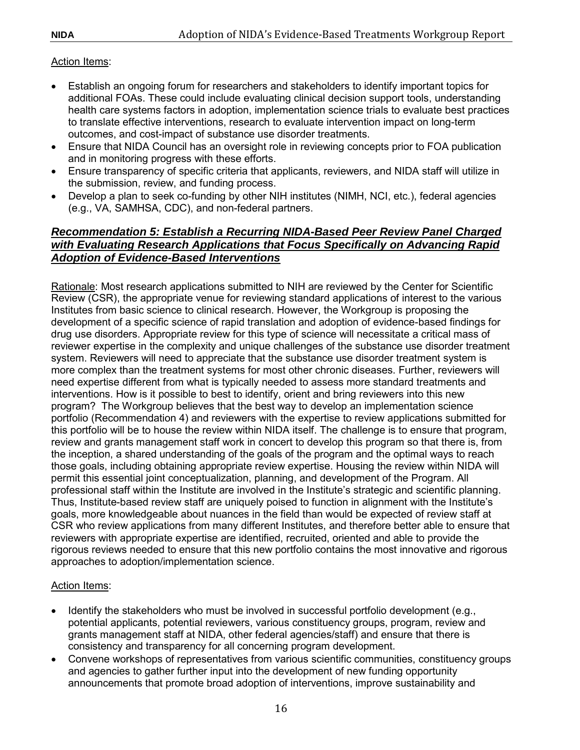# Action Items:

- Establish an ongoing forum for researchers and stakeholders to identify important topics for additional FOAs. These could include evaluating clinical decision support tools, understanding health care systems factors in adoption, implementation science trials to evaluate best practices to translate effective interventions, research to evaluate intervention impact on long-term outcomes, and cost-impact of substance use disorder treatments.
- Ensure that NIDA Council has an oversight role in reviewing concepts prior to FOA publication and in monitoring progress with these efforts.
- Ensure transparency of specific criteria that applicants, reviewers, and NIDA staff will utilize in the submission, review, and funding process.
- Develop a plan to seek co-funding by other NIH institutes (NIMH, NCI, etc.), federal agencies (e.g., VA, SAMHSA, CDC), and non-federal partners.

# <span id="page-21-0"></span>*Recommendation 5: Establish a Recurring NIDA-Based Peer Review Panel Charged with Evaluating Research Applications that Focus Specifically on Advancing Rapid Adoption of Evidence-Based Interventions*

Rationale: Most research applications submitted to NIH are reviewed by the Center for Scientific Review (CSR), the appropriate venue for reviewing standard applications of interest to the various Institutes from basic science to clinical research. However, the Workgroup is proposing the development of a specific science of rapid translation and adoption of evidence-based findings for drug use disorders. Appropriate review for this type of science will necessitate a critical mass of reviewer expertise in the complexity and unique challenges of the substance use disorder treatment system. Reviewers will need to appreciate that the substance use disorder treatment system is more complex than the treatment systems for most other chronic diseases. Further, reviewers will need expertise different from what is typically needed to assess more standard treatments and interventions. How is it possible to best to identify, orient and bring reviewers into this new program? The Workgroup believes that the best way to develop an implementation science portfolio (Recommendation 4) and reviewers with the expertise to review applications submitted for this portfolio will be to house the review within NIDA itself. The challenge is to ensure that program, review and grants management staff work in concert to develop this program so that there is, from the inception, a shared understanding of the goals of the program and the optimal ways to reach those goals, including obtaining appropriate review expertise. Housing the review within NIDA will permit this essential joint conceptualization, planning, and development of the Program. All professional staff within the Institute are involved in the Institute's strategic and scientific planning. Thus, Institute-based review staff are uniquely poised to function in alignment with the Institute's goals, more knowledgeable about nuances in the field than would be expected of review staff at CSR who review applications from many different Institutes, and therefore better able to ensure that reviewers with appropriate expertise are identified, recruited, oriented and able to provide the rigorous reviews needed to ensure that this new portfolio contains the most innovative and rigorous approaches to adoption/implementation science.

#### Action Items:

- Identify the stakeholders who must be involved in successful portfolio development (e.g., potential applicants, potential reviewers, various constituency groups, program, review and grants management staff at NIDA, other federal agencies/staff) and ensure that there is consistency and transparency for all concerning program development.
- Convene workshops of representatives from various scientific communities, constituency groups and agencies to gather further input into the development of new funding opportunity announcements that promote broad adoption of interventions, improve sustainability and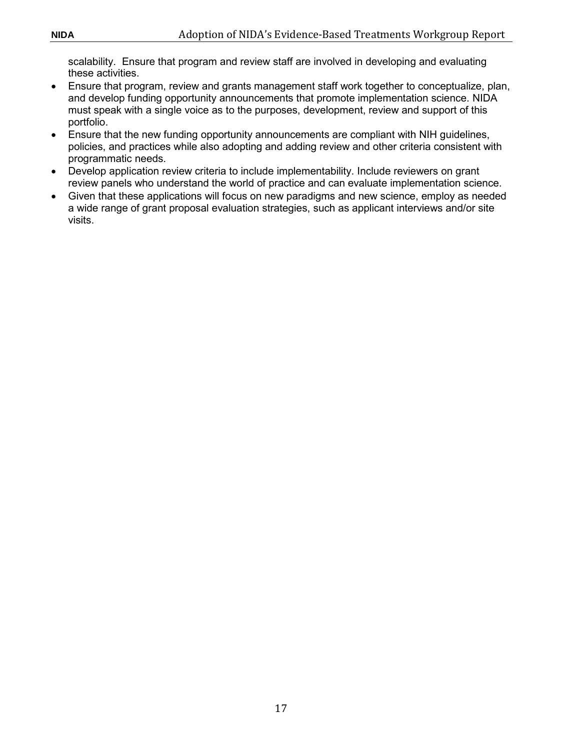scalability. Ensure that program and review staff are involved in developing and evaluating these activities.

- Ensure that program, review and grants management staff work together to conceptualize, plan, and develop funding opportunity announcements that promote implementation science. NIDA must speak with a single voice as to the purposes, development, review and support of this portfolio.
- Ensure that the new funding opportunity announcements are compliant with NIH guidelines, policies, and practices while also adopting and adding review and other criteria consistent with programmatic needs.
- Develop application review criteria to include implementability. Include reviewers on grant review panels who understand the world of practice and can evaluate implementation science.
- Given that these applications will focus on new paradigms and new science, employ as needed a wide range of grant proposal evaluation strategies, such as applicant interviews and/or site visits.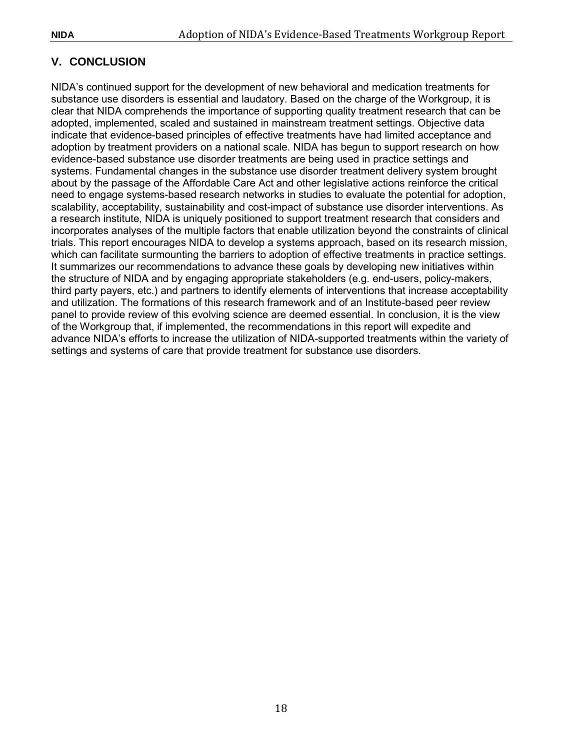# <span id="page-23-0"></span>**V. CONCLUSION**

NIDA's continued support for the development of new behavioral and medication treatments for substance use disorders is essential and laudatory. Based on the charge of the Workgroup, it is clear that NIDA comprehends the importance of supporting quality treatment research that can be adopted, implemented, scaled and sustained in mainstream treatment settings. Objective data indicate that evidence-based principles of effective treatments have had limited acceptance and adoption by treatment providers on a national scale. NIDA has begun to support research on how evidence-based substance use disorder treatments are being used in practice settings and systems. Fundamental changes in the substance use disorder treatment delivery system brought about by the passage of the Affordable Care Act and other legislative actions reinforce the critical need to engage systems-based research networks in studies to evaluate the potential for adoption, scalability, acceptability, sustainability and cost-impact of substance use disorder interventions. As a research institute, NIDA is uniquely positioned to support treatment research that considers and incorporates analyses of the multiple factors that enable utilization beyond the constraints of clinical trials. This report encourages NIDA to develop a systems approach, based on its research mission, which can facilitate surmounting the barriers to adoption of effective treatments in practice settings. It summarizes our recommendations to advance these goals by developing new initiatives within the structure of NIDA and by engaging appropriate stakeholders (e.g. end-users, policy-makers, third party payers, etc.) and partners to identify elements of interventions that increase acceptability and utilization. The formations of this research framework and of an Institute-based peer review panel to provide review of this evolving science are deemed essential. In conclusion, it is the view of the Workgroup that, if implemented, the recommendations in this report will expedite and advance NIDA's efforts to increase the utilization of NIDA-supported treatments within the variety of settings and systems of care that provide treatment for substance use disorders.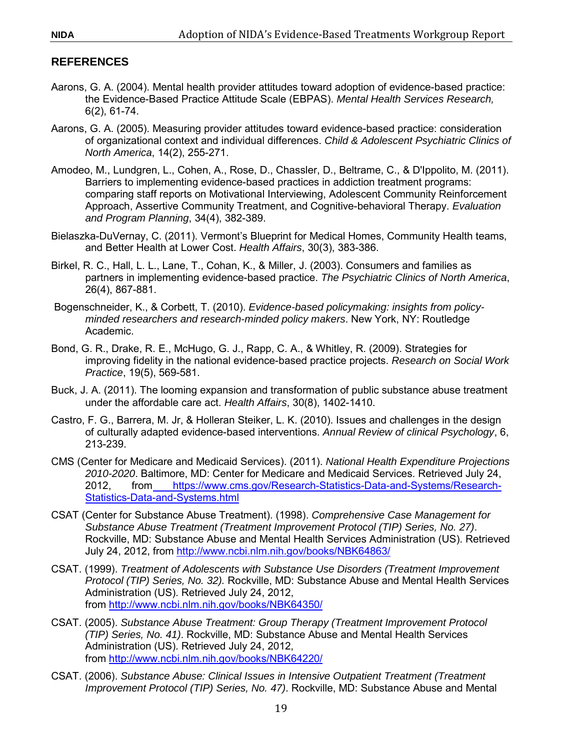# <span id="page-24-0"></span>**REFERENCES**

- Aarons, G. A. (2004). Mental health provider attitudes toward adoption of evidence-based practice: the Evidence-Based Practice Attitude Scale (EBPAS). *Mental Health Services Research,*  6(2), 61-74.
- Aarons, G. A. (2005). Measuring provider attitudes toward evidence-based practice: consideration of organizational context and individual differences. *Child & Adolescent Psychiatric Clinics of North America*, 14(2), 255-271.
- Amodeo, M., Lundgren, L., Cohen, A., Rose, D., Chassler, D., Beltrame, C., & D'Ippolito, M. (2011). Barriers to implementing evidence-based practices in addiction treatment programs: comparing staff reports on Motivational Interviewing, Adolescent Community Reinforcement Approach, Assertive Community Treatment, and Cognitive-behavioral Therapy. *Evaluation and Program Planning*, 34(4), 382-389.
- Bielaszka-DuVernay, C. (2011). Vermont's Blueprint for Medical Homes, Community Health teams, and Better Health at Lower Cost. *Health Affairs*, 30(3), 383-386.
- Birkel, R. C., Hall, L. L., Lane, T., Cohan, K., & Miller, J. (2003). Consumers and families as partners in implementing evidence-based practice. *The Psychiatric Clinics of North America*, 26(4), 867-881.
- Bogenschneider, K., & Corbett, T. (2010). *Evidence-based policymaking: insights from policyminded researchers and research-minded policy makers*. New York, NY: Routledge Academic.
- Bond, G. R., Drake, R. E., McHugo, G. J., Rapp, C. A., & Whitley, R. (2009). Strategies for improving fidelity in the national evidence-based practice projects. *Research on Social Work Practice*, 19(5), 569-581.
- Buck, J. A. (2011). The looming expansion and transformation of public substance abuse treatment under the affordable care act. *Health Affairs*, 30(8), 1402-1410.
- Castro, F. G., Barrera, M. Jr, & Holleran Steiker, L. K. (2010). Issues and challenges in the design of culturally adapted evidence-based interventions. *Annual Review of clinical Psychology*, 6, 213-239.
- CMS (Center for Medicare and Medicaid Services). (2011). *National Health Expenditure Projections 2010-2020*. Baltimore, MD: Center for Medicare and Medicaid Services. Retrieved July 24, 2012, from [https://www.cms.gov/Research-Statistics-Data-and-Systems/Research-](https://www.cms.gov/Research-Statistics-Data-and-Systems/Research-Statistics-Data-and-Systems.html)[Statistics-Data-and-Systems.html](https://www.cms.gov/Research-Statistics-Data-and-Systems/Research-Statistics-Data-and-Systems.html)
- CSAT (Center for Substance Abuse Treatment). (1998). *Comprehensive Case Management for Substance Abuse Treatment (Treatment Improvement Protocol (TIP) Series, No. 27)*. Rockville, MD: Substance Abuse and Mental Health Services Administration (US). Retrieved July 24, 2012, from<http://www.ncbi.nlm.nih.gov/books/NBK64863/>
- CSAT. (1999). *Treatment of Adolescents with Substance Use Disorders (Treatment Improvement Protocol (TIP) Series, No. 32).* Rockville, MD: Substance Abuse and Mental Health Services Administration (US). Retrieved July 24, 2012, from<http://www.ncbi.nlm.nih.gov/books/NBK64350/>
- CSAT. (2005). *Substance Abuse Treatment: Group Therapy (Treatment Improvement Protocol (TIP) Series, No. 41)*. Rockville, MD: Substance Abuse and Mental Health Services Administration (US). Retrieved July 24, 2012, from<http://www.ncbi.nlm.nih.gov/books/NBK64220/>
- CSAT. (2006). *Substance Abuse: Clinical Issues in Intensive Outpatient Treatment (Treatment Improvement Protocol (TIP) Series, No. 47)*. Rockville, MD: Substance Abuse and Mental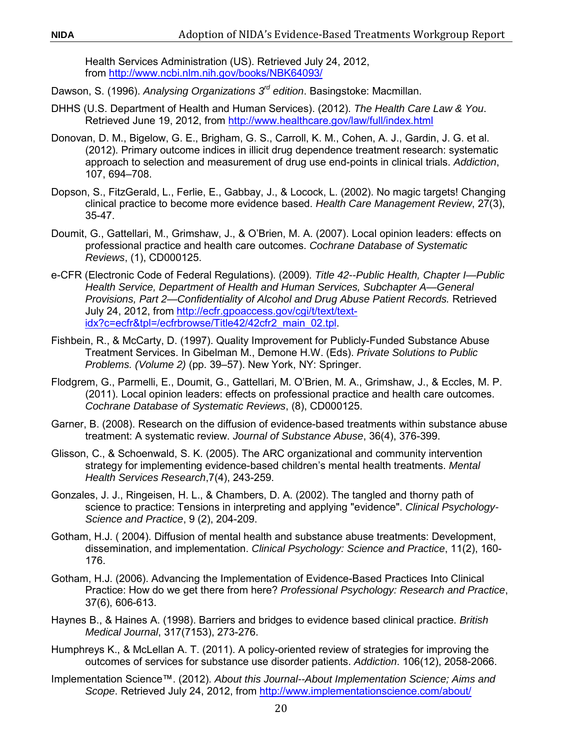Health Services Administration (US). Retrieved July 24, 2012, from<http://www.ncbi.nlm.nih.gov/books/NBK64093/>

- Dawson, S. (1996). *Analysing Organizations 3rd edition*. Basingstoke: Macmillan.
- DHHS (U.S. Department of Health and Human Services). (2012). *The Health Care Law & You*. Retrieved June 19, 2012, from<http://www.healthcare.gov/law/full/index.html>
- Donovan, D. M., Bigelow, G. E., Brigham, G. S., Carroll, K. M., Cohen, A. J., Gardin, J. G. et al. (2012). Primary outcome indices in illicit drug dependence treatment research: systematic approach to selection and measurement of drug use end-points in clinical trials. *Addiction*, 107, 694–708.
- Dopson, S., FitzGerald, L., Ferlie, E., Gabbay, J., & Locock, L. (2002). No magic targets! Changing clinical practice to become more evidence based. *Health Care Management Review*, 27(3), 35-47.
- Doumit, G., Gattellari, M., Grimshaw, J., & O'Brien, M. A. (2007). Local opinion leaders: effects on professional practice and health care outcomes. *Cochrane Database of Systematic Reviews*, (1), CD000125.
- e-CFR (Electronic Code of Federal Regulations). (2009). *Title 42--Public Health, Chapter I—Public Health Service, Department of Health and Human Services, Subchapter A—General Provisions, Part 2—Confidentiality of Alcohol and Drug Abuse Patient Records.* Retrieved July 24, 2012, from [http://ecfr.gpoaccess.gov/cgi/t/text/text](https://gov.ecfr.io/cgi-bin/ECFR)[idx?c=ecfr&tpl=/ecfrbrowse/Title42/42cfr2\\_main\\_02.tpl.](https://gov.ecfr.io/cgi-bin/ECFR)
- Fishbein, R., & McCarty, D. (1997). Quality Improvement for Publicly-Funded Substance Abuse Treatment Services. In Gibelman M., Demone H.W. (Eds). *Private Solutions to Public Problems. (Volume 2)* (pp. 39–57). New York, NY: Springer.
- Flodgrem, G., Parmelli, E., Doumit, G., Gattellari, M. O'Brien, M. A., Grimshaw, J., & Eccles, M. P. (2011). Local opinion leaders: effects on professional practice and health care outcomes. *Cochrane Database of Systematic Reviews*, (8), CD000125.
- Garner, B. (2008). Research on the diffusion of evidence-based treatments within substance abuse treatment: A systematic review. *Journal of Substance Abuse*, 36(4), 376-399.
- Glisson, C., & Schoenwald, S. K. (2005). The ARC organizational and community intervention strategy for implementing evidence-based children's mental health treatments. *Mental Health Services Research*,7(4), 243-259.
- Gonzales, J. J., Ringeisen, H. L., & Chambers, D. A. (2002). The tangled and thorny path of science to practice: Tensions in interpreting and applying "evidence". *Clinical Psychology-Science and Practice*, 9 (2), 204-209.
- Gotham, H.J. ( 2004). Diffusion of mental health and substance abuse treatments: Development, dissemination, and implementation. *Clinical Psychology: Science and Practice*, 11(2), 160- 176.
- Gotham, H.J. (2006). Advancing the Implementation of Evidence-Based Practices Into Clinical Practice: How do we get there from here? *Professional Psychology: Research and Practice*, 37(6), 606-613.
- Haynes B., & Haines A. (1998). Barriers and bridges to evidence based clinical practice. *British Medical Journal*, 317(7153), 273-276.
- Humphreys K., & McLellan A. T. (2011). A policy-oriented review of strategies for improving the outcomes of services for substance use disorder patients. *Addiction*. 106(12), 2058-2066.
- Implementation Science™. (2012). *About this Journal--About Implementation Science; Aims and Scope*. Retrieved July 24, 2012, from<http://www.implementationscience.com/about/>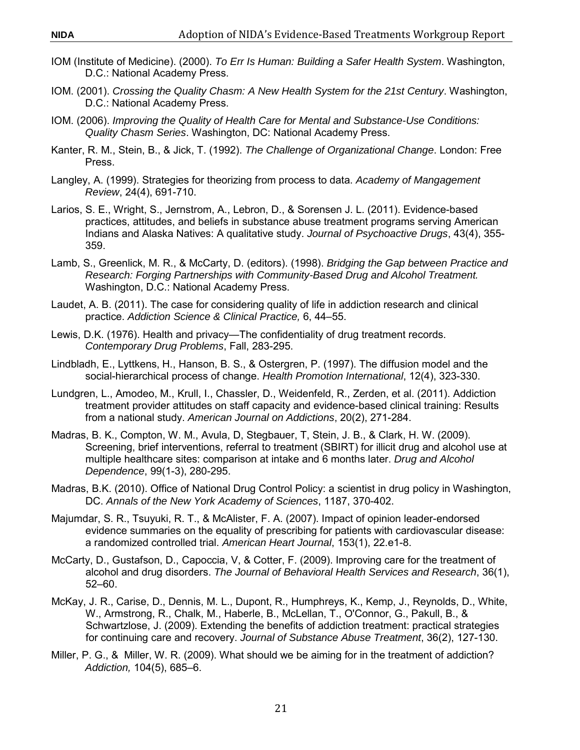- IOM (Institute of Medicine). (2000). *To Err Is Human: Building a Safer Health System*. Washington, D.C.: National Academy Press.
- IOM. (2001). *Crossing the Quality Chasm: A New Health System for the 21st Century*. Washington, D.C.: National Academy Press.
- IOM. (2006). *Improving the Quality of Health Care for Mental and Substance-Use Conditions: Quality Chasm Series*. Washington, DC: National Academy Press.
- Kanter, R. M., Stein, B., & Jick, T. (1992). *The Challenge of Organizational Change*. London: Free Press.
- Langley, A. (1999). Strategies for theorizing from process to data. *Academy of Mangagement Review*, 24(4), 691-710.
- Larios, S. E., Wright, S., Jernstrom, A., Lebron, D., & Sorensen J. L. (2011). Evidence-based practices, attitudes, and beliefs in substance abuse treatment programs serving American Indians and Alaska Natives: A qualitative study. *Journal of Psychoactive Drugs*, 43(4), 355- 359.
- Lamb, S., Greenlick, M. R., & McCarty, D. (editors). (1998). *Bridging the Gap between Practice and Research: Forging Partnerships with Community-Based Drug and Alcohol Treatment.* Washington, D.C.: National Academy Press.
- Laudet, A. B. (2011). The case for considering quality of life in addiction research and clinical practice. *Addiction Science & Clinical Practice,* 6, 44–55.
- Lewis, D.K. (1976). Health and privacy—The confidentiality of drug treatment records. *Contemporary Drug Problems*, Fall, 283-295.
- Lindbladh, E., Lyttkens, H., Hanson, B. S., & Ostergren, P. (1997). The diffusion model and the social-hierarchical process of change. *Health Promotion International*, 12(4), 323-330.
- Lundgren, L., Amodeo, M., Krull, I., Chassler, D., Weidenfeld, R., Zerden, et al. (2011). Addiction treatment provider attitudes on staff capacity and evidence-based clinical training: Results from a national study. *American Journal on Addictions*, 20(2), 271-284.
- Madras, B. K., Compton, W. M., Avula, D, Stegbauer, T, Stein, J. B., & Clark, H. W. (2009). Screening, brief interventions, referral to treatment (SBIRT) for illicit drug and alcohol use at multiple healthcare sites: comparison at intake and 6 months later. *Drug and Alcohol Dependence*, 99(1-3), 280-295.
- Madras, B.K. (2010). Office of National Drug Control Policy: a scientist in drug policy in Washington, DC. *Annals of the New York Academy of Sciences*, 1187, 370-402.
- Majumdar, S. R., Tsuyuki, R. T., & McAlister, F. A. (2007). Impact of opinion leader-endorsed evidence summaries on the equality of prescribing for patients with cardiovascular disease: a randomized controlled trial. *American Heart Journal*, 153(1), 22.e1-8.
- McCarty, D., Gustafson, D., Capoccia, V, & Cotter, F. (2009). Improving care for the treatment of alcohol and drug disorders. *The Journal of Behavioral Health Services and Research*, 36(1), 52–60.
- McKay, J. R., Carise, D., Dennis, M. L., Dupont, R., Humphreys, K., Kemp, J., Reynolds, D., White, W., Armstrong, R., Chalk, M., Haberle, B., McLellan, T., O'Connor, G., Pakull, B., & Schwartzlose, J. (2009). Extending the benefits of addiction treatment: practical strategies for continuing care and recovery. *Journal of Substance Abuse Treatment*, 36(2), 127-130.
- Miller, P. G., & Miller, W. R. (2009). What should we be aiming for in the treatment of addiction? *Addiction,* 104(5), 685–6.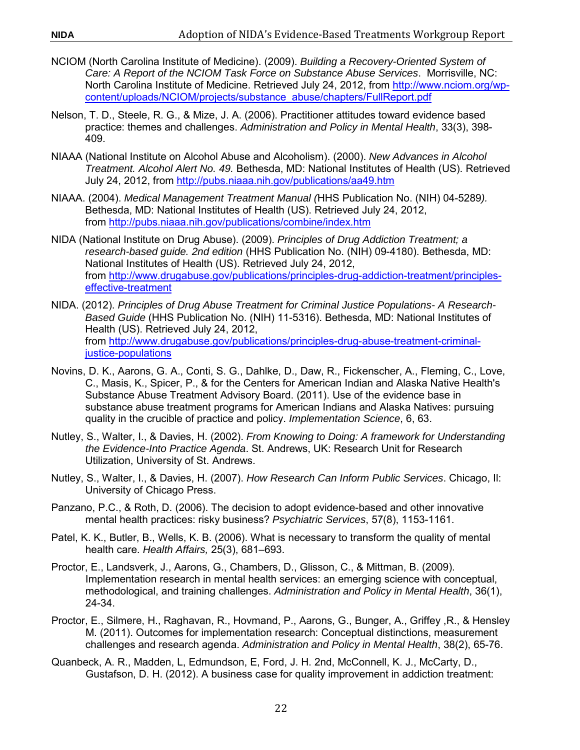- NCIOM (North Carolina Institute of Medicine). (2009). *Building a Recovery-Oriented System of Care: A Report of the NCIOM Task Force on Substance Abuse Services*. Morrisville, NC: North Carolina Institute of Medicine. Retrieved July 24, 2012, from [http://www.nciom.org/wp](http://nciom.org/)[content/uploads/NCIOM/projects/substance\\_abuse/chapters/FullReport.pdf](http://nciom.org/)
- Nelson, T. D., Steele, R. G., & Mize, J. A. (2006). Practitioner attitudes toward evidence based practice: themes and challenges. *Administration and Policy in Mental Health*, 33(3), 398- 409.
- NIAAA (National Institute on Alcohol Abuse and Alcoholism). (2000). *New Advances in Alcohol Treatment. Alcohol Alert No. 49.* Bethesda, MD: National Institutes of Health (US). Retrieved July 24, 2012, from <http://pubs.niaaa.nih.gov/publications/aa49.htm>
- NIAAA. (2004). *Medical Management Treatment Manual (*HHS Publication No. (NIH) 04-5289*).* Bethesda, MD: National Institutes of Health (US). Retrieved July 24, 2012, from<http://pubs.niaaa.nih.gov/publications/combine/index.htm>
- NIDA (National Institute on Drug Abuse). (2009). *Principles of Drug Addiction Treatment; a research-based guide. 2nd edition* (HHS Publication No. (NIH) 09-4180). Bethesda, MD: National Institutes of Health (US). Retrieved July 24, 2012, from [http://www.drugabuse.gov/publications/principles-drug-addiction-treatment/principles](http://www.drugabuse.gov/publications/principles-drug-addiction-treatment/principles-effective-treatment)[effective-treatment](http://www.drugabuse.gov/publications/principles-drug-addiction-treatment/principles-effective-treatment)
- NIDA. (2012). *Principles of Drug Abuse Treatment for Criminal Justice Populations- A Research-Based Guide* (HHS Publication No. (NIH) 11-5316). Bethesda, MD: National Institutes of Health (US). Retrieved July 24, 2012, from [http://www.drugabuse.gov/publications/principles-drug-abuse-treatment-criminal](http://www.drugabuse.gov/publications/principles-drug-abuse-treatment-criminal-justice-populations)[justice-populations](http://www.drugabuse.gov/publications/principles-drug-abuse-treatment-criminal-justice-populations)
- Novins, D. K., Aarons, G. A., Conti, S. G., Dahlke, D., Daw, R., Fickenscher, A., Fleming, C., Love, C., Masis, K., Spicer, P., & for the Centers for American Indian and Alaska Native Health's Substance Abuse Treatment Advisory Board. (2011). Use of the evidence base in substance abuse treatment programs for American Indians and Alaska Natives: pursuing quality in the crucible of practice and policy. *Implementation Science*, 6, 63.
- Nutley, S., Walter, I., & Davies, H. (2002). *From Knowing to Doing: A framework for Understanding the Evidence-Into Practice Agenda*. St. Andrews, UK: Research Unit for Research Utilization, University of St. Andrews.
- Nutley, S., Walter, I., & Davies, H. (2007). *How Research Can Inform Public Services*. Chicago, Il: University of Chicago Press.
- Panzano, P.C., & Roth, D. (2006). The decision to adopt evidence-based and other innovative mental health practices: risky business? *Psychiatric Services*, 57(8), 1153-1161.
- Patel, K. K., Butler, B., Wells, K. B. (2006). What is necessary to transform the quality of mental health care. *Health Affairs,* 25(3), 681–693.
- Proctor, E., Landsverk, J., Aarons, G., Chambers, D., Glisson, C., & Mittman, B. (2009). Implementation research in mental health services: an emerging science with conceptual, methodological, and training challenges. *Administration and Policy in Mental Health*, 36(1), 24-34.
- Proctor, E., Silmere, H., Raghavan, R., Hovmand, P., Aarons, G., Bunger, A., Griffey ,R., & Hensley M. (2011). Outcomes for implementation research: Conceptual distinctions, measurement challenges and research agenda. *Administration and Policy in Mental Health*, 38(2), 65-76.
- Quanbeck, A. R., Madden, L, Edmundson, E, Ford, J. H. 2nd, McConnell, K. J., McCarty, D., Gustafson, D. H. (2012). A business case for quality improvement in addiction treatment: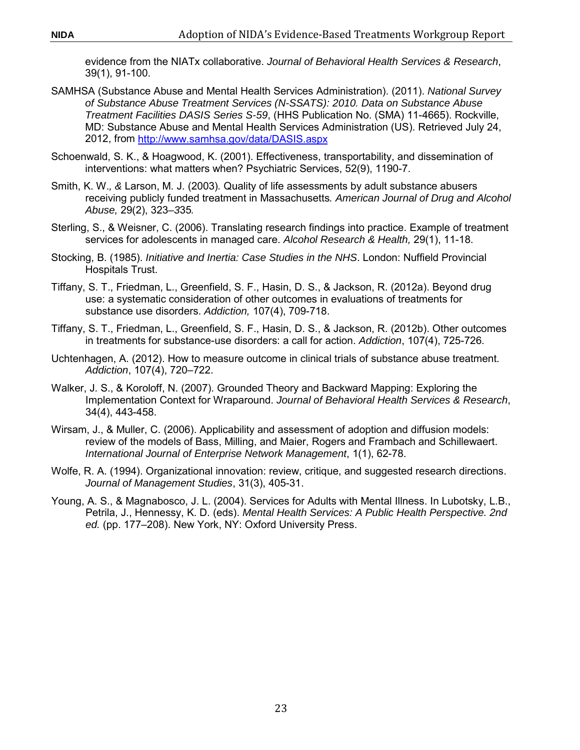evidence from the NIATx collaborative. *Journal of Behavioral Health Services & Research*, 39(1), 91-100.

- SAMHSA (Substance Abuse and Mental Health Services Administration). (2011). *National Survey of Substance Abuse Treatment Services (N-SSATS): 2010. Data on Substance Abuse Treatment Facilities DASIS Series S-59*, (HHS Publication No. (SMA) 11-4665). Rockville, MD: Substance Abuse and Mental Health Services Administration (US). Retrieved July 24, 2012, from [http://www.samhsa.gov/data/DASIS.aspx](https://www.samhsa.gov/data/)
- Schoenwald, S. K., & Hoagwood, K. (2001). Effectiveness, transportability, and dissemination of interventions: what matters when? Psychiatric Services, 52(9), 1190-7.
- Smith, K. W.*, &* Larson, M. J. (2003)*.* Quality of life assessments by adult substance abusers receiving publicly funded treatment in Massachusetts*. American Journal of Drug and Alcohol Abuse,* 29(2), 323*–3*35*.*
- Sterling, S., & Weisner, C. (2006). Translating research findings into practice. Example of treatment services for adolescents in managed care. *Alcohol Research & Health,* 29(1), 11-18.
- Stocking, B. (1985). *Initiative and Inertia: Case Studies in the NHS*. London: Nuffield Provincial Hospitals Trust.
- Tiffany, S. T., Friedman, L., Greenfield, S. F., Hasin, D. S., & Jackson, R. (2012a). Beyond drug use: a systematic consideration of other outcomes in evaluations of treatments for substance use disorders. *Addiction,* 107(4), 709-718.
- Tiffany, S. T., Friedman, L., Greenfield, S. F., Hasin, D. S., & Jackson, R. (2012b). Other outcomes in treatments for substance-use disorders: a call for action. *Addiction*, 107(4), 725-726.
- Uchtenhagen, A. (2012). How to measure outcome in clinical trials of substance abuse treatment. *Addiction*, 107(4), 720–722.
- Walker, J. S., & Koroloff, N. (2007). Grounded Theory and Backward Mapping: Exploring the Implementation Context for Wraparound. *Journal of Behavioral Health Services & Research*, 34(4), 443-458.
- Wirsam, J., & Muller, C. (2006). Applicability and assessment of adoption and diffusion models: review of the models of Bass, Milling, and Maier, Rogers and Frambach and Schillewaert. *International Journal of Enterprise Network Management*, 1(1), 62-78.
- Wolfe, R. A. (1994). Organizational innovation: review, critique, and suggested research directions. *Journal of Management Studies*, 31(3), 405-31.
- Young, A. S., & Magnabosco, J. L. (2004). Services for Adults with Mental Illness. In Lubotsky, L.B., Petrila, J., Hennessy, K. D. (eds). *Mental Health Services: A Public Health Perspective. 2nd ed.* (pp. 177–208). New York, NY: Oxford University Press.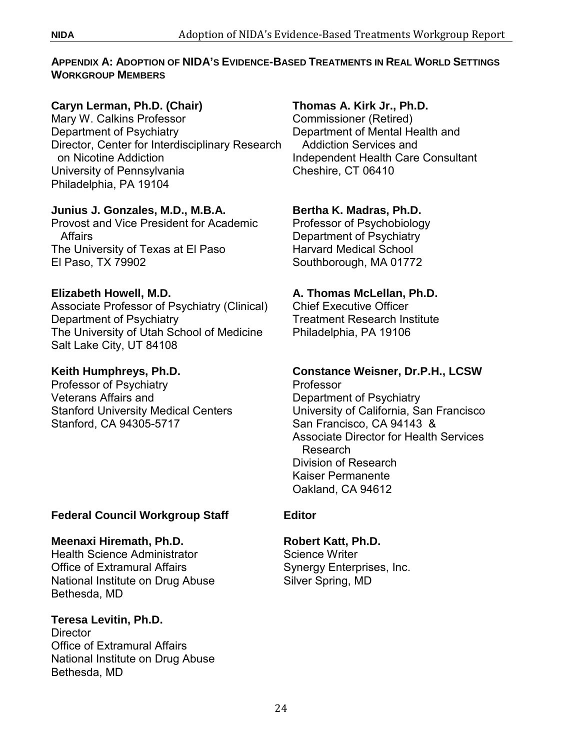#### <span id="page-29-0"></span>**APPENDIX A: ADOPTION OF NIDA'S EVIDENCE-BASED TREATMENTS IN REAL WORLD SETTINGS WORKGROUP MEMBERS**

# **Caryn Lerman, Ph.D. (Chair)**

Mary W. Calkins Professor Department of Psychiatry Director, Center for Interdisciplinary Research on Nicotine Addiction University of Pennsylvania Philadelphia, PA 19104

# **Junius J. Gonzales, M.D., M.B.A.**

Provost and Vice President for Academic **Affairs** The University of Texas at El Paso El Paso, TX 79902

# **Elizabeth Howell, M.D.**

Associate Professor of Psychiatry (Clinical) Department of Psychiatry The University of Utah School of Medicine Salt Lake City, UT 84108

# **Keith Humphreys, Ph.D.**

Professor of Psychiatry Veterans Affairs and Stanford University Medical Centers Stanford, CA 94305-5717

# **Federal Council Workgroup Staff**

# **Meenaxi Hiremath, Ph.D.**

Health Science Administrator Office of Extramural Affairs National Institute on Drug Abuse Bethesda, MD

# **Teresa Levitin, Ph.D.**

**Director** Office of Extramural Affairs National Institute on Drug Abuse Bethesda, MD

# **Thomas A. Kirk Jr., Ph.D.**

Commissioner (Retired) Department of Mental Health and Addiction Services and Independent Health Care Consultant Cheshire, CT 06410

# **Bertha K. Madras, Ph.D.**

Professor of Psychobiology Department of Psychiatry Harvard Medical School Southborough, MA 01772

# **A. Thomas McLellan, Ph.D.**

Chief Executive Officer Treatment Research Institute Philadelphia, PA 19106

#### **Constance Weisner, Dr.P.H., LCSW** Professor Department of Psychiatry University of California, San Francisco San Francisco, CA 94143 & Associate Director for Health Services Research Division of Research Kaiser Permanente Oakland, CA 94612

# **Editor**

# **Robert Katt, Ph.D.**

Science Writer Synergy Enterprises, Inc. Silver Spring, MD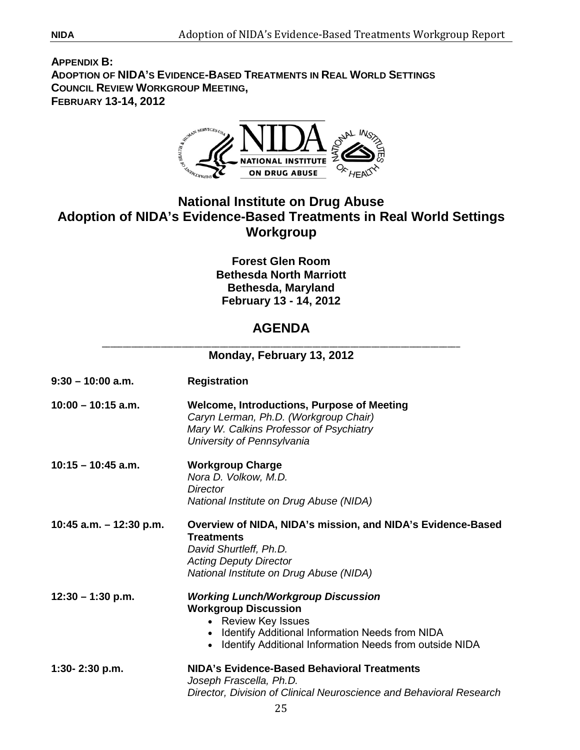<span id="page-30-0"></span>**APPENDIX B: ADOPTION OF NIDA'S EVIDENCE-BASED TREATMENTS IN REAL WORLD SETTINGS COUNCIL REVIEW WORKGROUP MEETING, FEBRUARY 13-14, 2012**



# **National Institute on Drug Abuse Adoption of NIDA's Evidence-Based Treatments in Real World Settings Workgroup**

**Forest Glen Room Bethesda North Marriott Bethesda, Maryland February 13 - 14, 2012** 

# \_\_\_\_\_\_\_\_\_\_\_\_\_\_\_\_\_\_\_\_\_\_\_\_\_\_\_\_\_\_\_\_\_\_\_\_\_\_\_\_\_\_\_\_\_\_\_\_\_\_\_\_\_\_\_\_\_\_\_\_\_\_\_\_\_\_\_\_\_\_\_\_\_\_\_\_\_\_\_\_\_\_\_\_\_ **AGENDA**

| Monday, February 13, 2012 |                                                                                                                                                                                                                              |  |
|---------------------------|------------------------------------------------------------------------------------------------------------------------------------------------------------------------------------------------------------------------------|--|
| $9:30 - 10:00$ a.m.       | <b>Registration</b>                                                                                                                                                                                                          |  |
| $10:00 - 10:15$ a.m.      | <b>Welcome, Introductions, Purpose of Meeting</b><br>Caryn Lerman, Ph.D. (Workgroup Chair)<br>Mary W. Calkins Professor of Psychiatry<br>University of Pennsylvania                                                          |  |
| $10:15 - 10:45$ a.m.      | <b>Workgroup Charge</b><br>Nora D. Volkow, M.D.<br>Director<br>National Institute on Drug Abuse (NIDA)                                                                                                                       |  |
| 10:45 a.m. $-$ 12:30 p.m. | Overview of NIDA, NIDA's mission, and NIDA's Evidence-Based<br><b>Treatments</b><br>David Shurtleff, Ph.D.<br><b>Acting Deputy Director</b><br>National Institute on Drug Abuse (NIDA)                                       |  |
| $12:30 - 1:30$ p.m.       | <b>Working Lunch/Workgroup Discussion</b><br><b>Workgroup Discussion</b><br>• Review Key Issues<br>Identify Additional Information Needs from NIDA<br>$\bullet$<br>• Identify Additional Information Needs from outside NIDA |  |
| 1:30- $2:30$ p.m.         | NIDA's Evidence-Based Behavioral Treatments<br>Joseph Frascella, Ph.D.<br>Director, Division of Clinical Neuroscience and Behavioral Research                                                                                |  |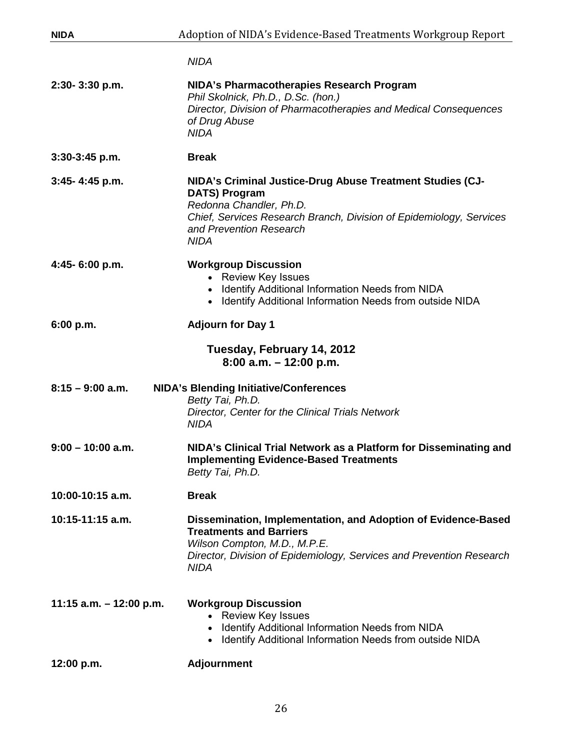| <b>NIDA</b>               | Adoption of NIDA's Evidence-Based Treatments Workgroup Report                                                                                                                                                                 |  |
|---------------------------|-------------------------------------------------------------------------------------------------------------------------------------------------------------------------------------------------------------------------------|--|
|                           | <b>NIDA</b>                                                                                                                                                                                                                   |  |
| 2:30-3:30 p.m.            | NIDA's Pharmacotherapies Research Program<br>Phil Skolnick, Ph.D., D.Sc. (hon.)<br>Director, Division of Pharmacotherapies and Medical Consequences<br>of Drug Abuse<br><b>NIDA</b>                                           |  |
| 3:30-3:45 p.m.            | <b>Break</b>                                                                                                                                                                                                                  |  |
| 3:45-4:45 p.m.            | NIDA's Criminal Justice-Drug Abuse Treatment Studies (CJ-<br><b>DATS) Program</b><br>Redonna Chandler, Ph.D.<br>Chief, Services Research Branch, Division of Epidemiology, Services<br>and Prevention Research<br><b>NIDA</b> |  |
| 4:45-6:00 p.m.            | <b>Workgroup Discussion</b><br>• Review Key Issues<br>• Identify Additional Information Needs from NIDA<br>Identify Additional Information Needs from outside NIDA<br>$\bullet$                                               |  |
| 6:00 p.m.                 | <b>Adjourn for Day 1</b>                                                                                                                                                                                                      |  |
|                           | Tuesday, February 14, 2012<br>$8:00$ a.m. $-12:00$ p.m.                                                                                                                                                                       |  |
| $8:15 - 9:00$ a.m.        | <b>NIDA's Blending Initiative/Conferences</b><br>Betty Tai, Ph.D.<br>Director, Center for the Clinical Trials Network<br><b>NIDA</b>                                                                                          |  |
| $9:00 - 10:00$ a.m.       | NIDA's Clinical Trial Network as a Platform for Disseminating and<br><b>Implementing Evidence-Based Treatments</b><br>Betty Tai, Ph.D.                                                                                        |  |
| 10:00-10:15 a.m.          | <b>Break</b>                                                                                                                                                                                                                  |  |
| 10:15-11:15 a.m.          | Dissemination, Implementation, and Adoption of Evidence-Based<br><b>Treatments and Barriers</b><br>Wilson Compton, M.D., M.P.E.<br>Director, Division of Epidemiology, Services and Prevention Research<br><b>NIDA</b>        |  |
| 11:15 a.m. $-$ 12:00 p.m. | <b>Workgroup Discussion</b><br><b>Review Key Issues</b><br>Identify Additional Information Needs from NIDA<br>$\bullet$<br>• Identify Additional Information Needs from outside NIDA                                          |  |
| 12:00 p.m.                | <b>Adjournment</b>                                                                                                                                                                                                            |  |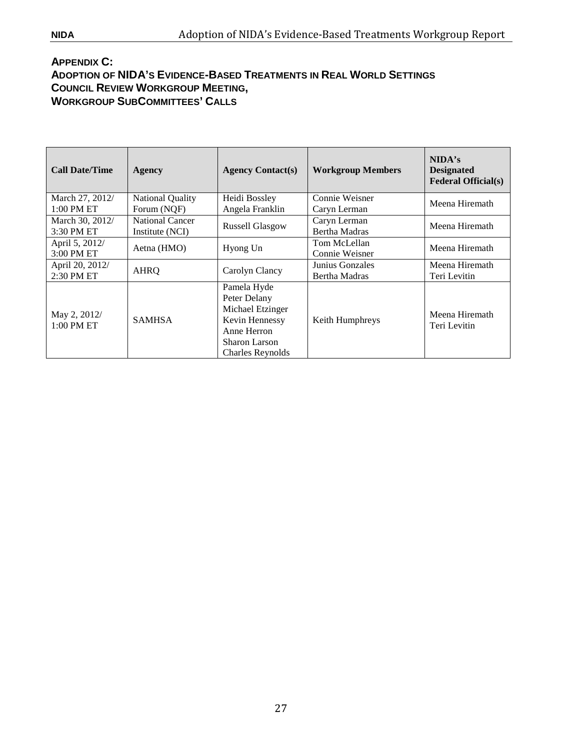#### <span id="page-32-0"></span>**APPENDIX C: ADOPTION OF NIDA'S EVIDENCE-BASED TREATMENTS IN REAL WORLD SETTINGS COUNCIL REVIEW WORKGROUP MEETING, WORKGROUP SUBCOMMITTEES' CALLS**

| <b>Call Date/Time</b>      | <b>Agency</b>          | <b>Agency Contact(s)</b> | <b>Workgroup Members</b> | NIDA's<br><b>Designated</b><br><b>Federal Official(s)</b> |
|----------------------------|------------------------|--------------------------|--------------------------|-----------------------------------------------------------|
| March 27, 2012/            | National Quality       | Heidi Bossley            | Connie Weisner           | Meena Hiremath                                            |
| $1:00$ PM ET               | Forum (NOF)            | Angela Franklin          | Caryn Lerman             |                                                           |
| March 30, 2012/            | <b>National Cancer</b> | <b>Russell Glasgow</b>   | Caryn Lerman             | Meena Hiremath                                            |
| 3:30 PM ET                 | Institute (NCI)        |                          | <b>Bertha Madras</b>     |                                                           |
| April 5, 2012/             | Aetna (HMO)            | Hyong Un                 | Tom McLellan             | Meena Hiremath                                            |
| 3:00 PM ET                 |                        |                          | Connie Weisner           |                                                           |
| April 20, 2012/            | <b>AHRQ</b>            | Carolyn Clancy           | Junius Gonzales          | Meena Hiremath                                            |
| 2:30 PM ET                 |                        |                          | <b>Bertha Madras</b>     | Teri Levitin                                              |
|                            |                        | Pamela Hyde              |                          |                                                           |
| May 2, 2012/<br>1:00 PM ET |                        | Peter Delany             |                          |                                                           |
|                            | <b>SAMHSA</b>          | Michael Etzinger         | Keith Humphreys          | Meena Hiremath<br>Teri Levitin                            |
|                            |                        | Kevin Hennessy           |                          |                                                           |
|                            |                        | Anne Herron              |                          |                                                           |
|                            |                        | Sharon Larson            |                          |                                                           |
|                            |                        | <b>Charles Reynolds</b>  |                          |                                                           |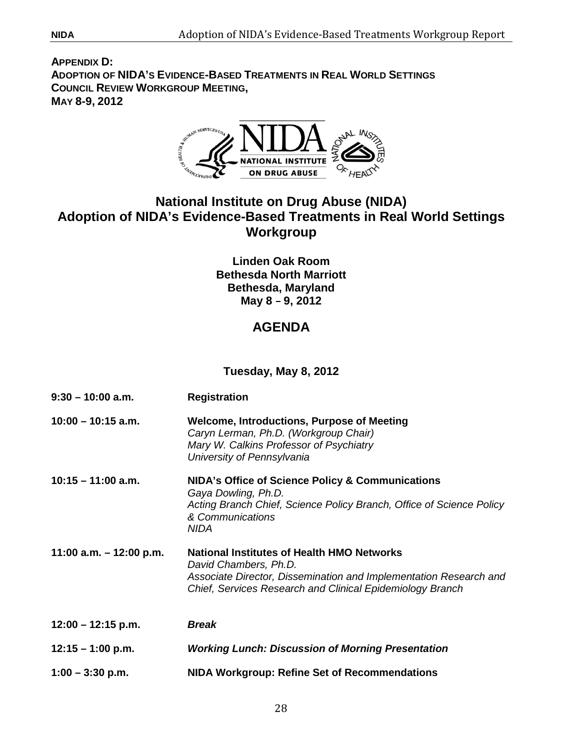**APPENDIX D: ADOPTION OF NIDA'S EVIDENCE-BASED TREATMENTS IN REAL WORLD SETTINGS COUNCIL REVIEW WORKGROUP MEETING, MAY 8-9, 2012**



# **National Institute on Drug Abuse (NIDA) Adoption of NIDA's Evidence-Based Treatments in Real World Settings Workgroup**

**Linden Oak Room Bethesda North Marriott Bethesda, Maryland May 8 – 9, 2012** 

# **AGENDA**

**Tuesday, May 8, 2012**

| $9:30 - 10:00$ a.m.       | <b>Registration</b>                                                                                                                                                                                          |  |
|---------------------------|--------------------------------------------------------------------------------------------------------------------------------------------------------------------------------------------------------------|--|
| $10:00 - 10:15$ a.m.      | <b>Welcome, Introductions, Purpose of Meeting</b><br>Caryn Lerman, Ph.D. (Workgroup Chair)<br>Mary W. Calkins Professor of Psychiatry<br>University of Pennsylvania                                          |  |
| $10:15 - 11:00$ a.m.      | NIDA's Office of Science Policy & Communications<br>Gaya Dowling, Ph.D.<br>Acting Branch Chief, Science Policy Branch, Office of Science Policy<br>& Communications<br><b>NIDA</b>                           |  |
| 11:00 a.m. $-$ 12:00 p.m. | <b>National Institutes of Health HMO Networks</b><br>David Chambers, Ph.D.<br>Associate Director, Dissemination and Implementation Research and<br>Chief, Services Research and Clinical Epidemiology Branch |  |
| $12:00 - 12:15$ p.m.      | <b>Break</b>                                                                                                                                                                                                 |  |
| $12:15 - 1:00$ p.m.       | <b>Working Lunch: Discussion of Morning Presentation</b>                                                                                                                                                     |  |
| $1:00 - 3:30$ p.m.        | <b>NIDA Workgroup: Refine Set of Recommendations</b>                                                                                                                                                         |  |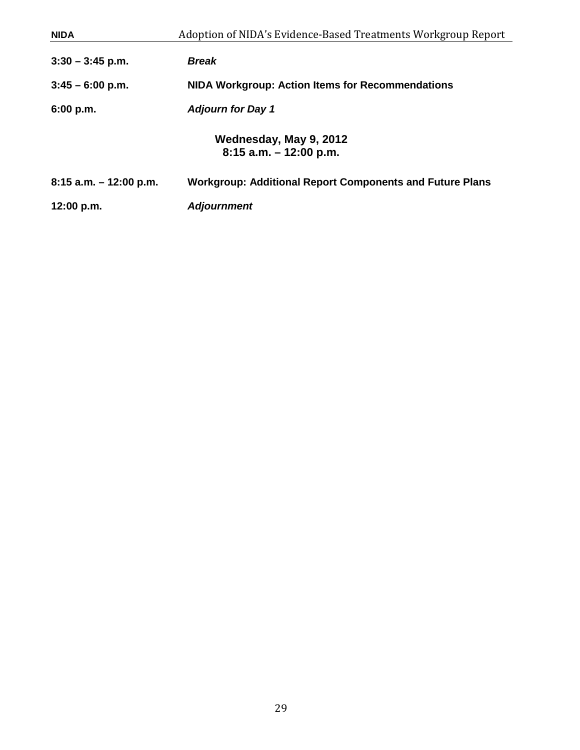| <b>NIDA</b>               | Adoption of NIDA's Evidence-Based Treatments Workgroup Report   |
|---------------------------|-----------------------------------------------------------------|
| $3:30 - 3:45$ p.m.        | <b>Break</b>                                                    |
| $3:45 - 6:00$ p.m.        | NIDA Workgroup: Action Items for Recommendations                |
| 6:00 p.m.                 | <b>Adjourn for Day 1</b>                                        |
|                           | Wednesday, May 9, 2012<br>$8:15$ a.m. $-12:00$ p.m.             |
| $8:15$ a.m. $-12:00$ p.m. | <b>Workgroup: Additional Report Components and Future Plans</b> |
| 12:00 p.m.                | <b>Adjournment</b>                                              |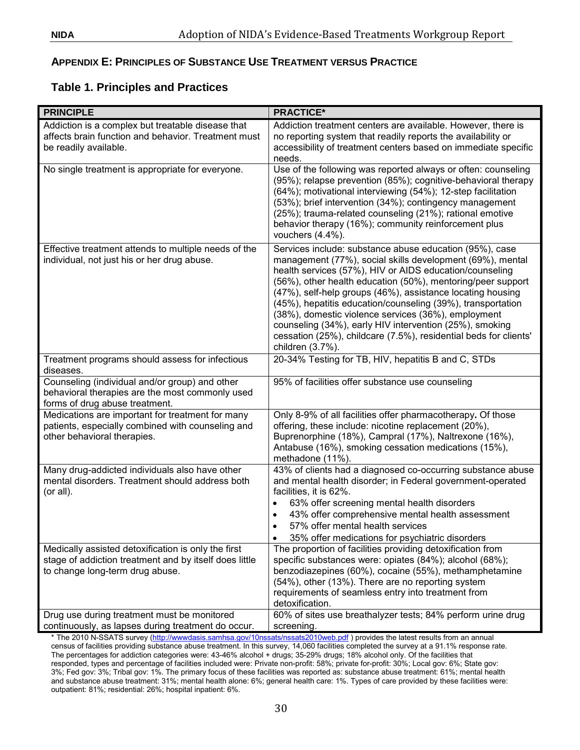## <span id="page-35-0"></span>**APPENDIX E: PRINCIPLES OF SUBSTANCE USE TREATMENT VERSUS PRACTICE**

# **Table 1. Principles and Practices**

| <b>PRINCIPLE</b>                                                                                                                                 | <b>PRACTICE*</b>                                                                                                                                                                                                                                                                                                                                                                                                                                                                                                                                                                      |
|--------------------------------------------------------------------------------------------------------------------------------------------------|---------------------------------------------------------------------------------------------------------------------------------------------------------------------------------------------------------------------------------------------------------------------------------------------------------------------------------------------------------------------------------------------------------------------------------------------------------------------------------------------------------------------------------------------------------------------------------------|
| Addiction is a complex but treatable disease that<br>affects brain function and behavior. Treatment must<br>be readily available.                | Addiction treatment centers are available. However, there is<br>no reporting system that readily reports the availability or<br>accessibility of treatment centers based on immediate specific<br>needs.                                                                                                                                                                                                                                                                                                                                                                              |
| No single treatment is appropriate for everyone.                                                                                                 | Use of the following was reported always or often: counseling<br>(95%); relapse prevention (85%); cognitive-behavioral therapy<br>(64%); motivational interviewing (54%); 12-step facilitation<br>(53%); brief intervention (34%); contingency management<br>(25%); trauma-related counseling (21%); rational emotive<br>behavior therapy (16%); community reinforcement plus<br>vouchers $(4.4\%)$ .                                                                                                                                                                                 |
| Effective treatment attends to multiple needs of the<br>individual, not just his or her drug abuse.                                              | Services include: substance abuse education (95%), case<br>management (77%), social skills development (69%), mental<br>health services (57%), HIV or AIDS education/counseling<br>(56%), other health education (50%), mentoring/peer support<br>(47%), self-help groups (46%), assistance locating housing<br>(45%), hepatitis education/counseling (39%), transportation<br>(38%), domestic violence services (36%), employment<br>counseling (34%), early HIV intervention (25%), smoking<br>cessation (25%), childcare (7.5%), residential beds for clients'<br>children (3.7%). |
| Treatment programs should assess for infectious<br>diseases.                                                                                     | 20-34% Testing for TB, HIV, hepatitis B and C, STDs                                                                                                                                                                                                                                                                                                                                                                                                                                                                                                                                   |
| Counseling (individual and/or group) and other<br>behavioral therapies are the most commonly used<br>forms of drug abuse treatment.              | 95% of facilities offer substance use counseling                                                                                                                                                                                                                                                                                                                                                                                                                                                                                                                                      |
| Medications are important for treatment for many<br>patients, especially combined with counseling and<br>other behavioral therapies.             | Only 8-9% of all facilities offer pharmacotherapy. Of those<br>offering, these include: nicotine replacement (20%),<br>Buprenorphine (18%), Campral (17%), Naltrexone (16%),<br>Antabuse (16%), smoking cessation medications (15%),<br>methadone (11%).                                                                                                                                                                                                                                                                                                                              |
| Many drug-addicted individuals also have other<br>mental disorders. Treatment should address both<br>(or all).                                   | 43% of clients had a diagnosed co-occurring substance abuse<br>and mental health disorder; in Federal government-operated<br>facilities, it is 62%.<br>63% offer screening mental health disorders<br>$\bullet$<br>43% offer comprehensive mental health assessment<br>$\bullet$<br>57% offer mental health services<br>35% offer medications for psychiatric disorders                                                                                                                                                                                                               |
| Medically assisted detoxification is only the first<br>stage of addiction treatment and by itself does little<br>to change long-term drug abuse. | The proportion of facilities providing detoxification from<br>specific substances were: opiates (84%); alcohol (68%);<br>benzodiazepines (60%), cocaine (55%), methamphetamine<br>(54%), other (13%). There are no reporting system<br>requirements of seamless entry into treatment from<br>detoxification.                                                                                                                                                                                                                                                                          |
| Drug use during treatment must be monitored<br>continuously, as lapses during treatment do occur.                                                | 60% of sites use breathalyzer tests; 84% perform urine drug<br>screening.                                                                                                                                                                                                                                                                                                                                                                                                                                                                                                             |

The 2010 N-SSATS survey [\(http://wwwdasis.samhsa.gov/10nssats/nssats2010web.pdf](http://wwwdasis.samhsa.gov/10nssats/nssats2010web.pdf) ) provides the latest results from an annual census of facilities providing substance abuse treatment. In this survey, 14,060 facilities completed the survey at a 91.1% response rate. The percentages for addiction categories were: 43-46% alcohol + drugs; 35-29% drugs; 18% alcohol only. Of the facilities that responded, types and percentage of facilities included were: Private non-profit: 58%; private for-profit: 30%; Local gov: 6%; State gov: 3%; Fed gov: 3%; Tribal gov: 1%. The primary focus of these facilities was reported as: substance abuse treatment: 61%; mental health and substance abuse treatment: 31%; mental health alone: 6%; general health care: 1%. Types of care provided by these facilities were: outpatient: 81%; residential: 26%; hospital inpatient: 6%.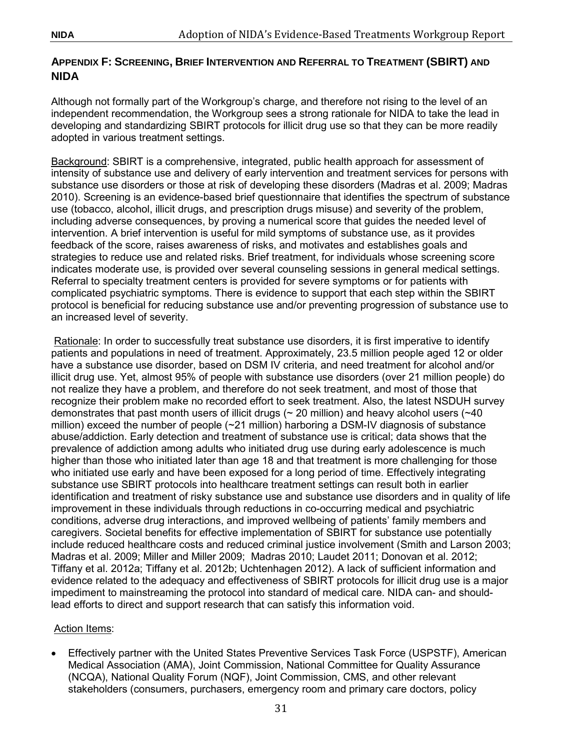# <span id="page-36-0"></span>**APPENDIX F: SCREENING, BRIEF INTERVENTION AND REFERRAL TO TREATMENT (SBIRT) AND NIDA**

Although not formally part of the Workgroup's charge, and therefore not rising to the level of an independent recommendation, the Workgroup sees a strong rationale for NIDA to take the lead in developing and standardizing SBIRT protocols for illicit drug use so that they can be more readily adopted in various treatment settings.

Background: SBIRT is a comprehensive, integrated, public health approach for assessment of intensity of substance use and delivery of early intervention and treatment services for persons with substance use disorders or those at risk of developing these disorders (Madras et al. 2009; Madras 2010). Screening is an evidence-based brief questionnaire that identifies the spectrum of substance use (tobacco, alcohol, illicit drugs, and prescription drugs misuse) and severity of the problem, including adverse consequences, by proving a numerical score that guides the needed level of intervention. A brief intervention is useful for mild symptoms of substance use, as it provides feedback of the score, raises awareness of risks, and motivates and establishes goals and strategies to reduce use and related risks. Brief treatment, for individuals whose screening score indicates moderate use, is provided over several counseling sessions in general medical settings. Referral to specialty treatment centers is provided for severe symptoms or for patients with complicated psychiatric symptoms. There is evidence to support that each step within the SBIRT protocol is beneficial for reducing substance use and/or preventing progression of substance use to an increased level of severity.

Rationale: In order to successfully treat substance use disorders, it is first imperative to identify patients and populations in need of treatment. Approximately, 23.5 million people aged 12 or older have a substance use disorder, based on DSM IV criteria, and need treatment for alcohol and/or illicit drug use. Yet, almost 95% of people with substance use disorders (over 21 million people) do not realize they have a problem, and therefore do not seek treatment, and most of those that recognize their problem make no recorded effort to seek treatment. Also, the latest NSDUH survey demonstrates that past month users of illicit drugs ( $\sim$  20 million) and heavy alcohol users ( $\sim$  40 million) exceed the number of people (~21 million) harboring a DSM-IV diagnosis of substance abuse/addiction. Early detection and treatment of substance use is critical; data shows that the prevalence of addiction among adults who initiated drug use during early adolescence is much higher than those who initiated later than age 18 and that treatment is more challenging for those who initiated use early and have been exposed for a long period of time. Effectively integrating substance use SBIRT protocols into healthcare treatment settings can result both in earlier identification and treatment of risky substance use and substance use disorders and in quality of life improvement in these individuals through reductions in co-occurring medical and psychiatric conditions, adverse drug interactions, and improved wellbeing of patients' family members and caregivers. Societal benefits for effective implementation of SBIRT for substance use potentially include reduced healthcare costs and reduced criminal justice involvement (Smith and Larson 2003; Madras et al. 2009; Miller and Miller 2009; Madras 2010; Laudet 2011; Donovan et al. 2012; Tiffany et al. 2012a; Tiffany et al. 2012b; Uchtenhagen 2012). A lack of sufficient information and evidence related to the adequacy and effectiveness of SBIRT protocols for illicit drug use is a major impediment to mainstreaming the protocol into standard of medical care. NIDA can- and shouldlead efforts to direct and support research that can satisfy this information void.

#### Action Items:

• Effectively partner with the United States Preventive Services Task Force (USPSTF), American Medical Association (AMA), Joint Commission, National Committee for Quality Assurance (NCQA), National Quality Forum (NQF), Joint Commission, CMS, and other relevant stakeholders (consumers, purchasers, emergency room and primary care doctors, policy